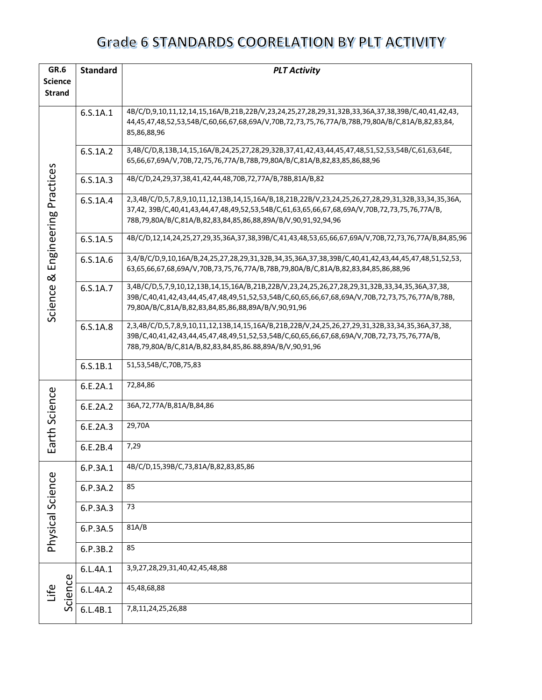| GR.6                  | <b>Standard</b><br><b>PLT Activity</b> |          |                                                                                                                                                                                                                                                                     |  |  |  |  |
|-----------------------|----------------------------------------|----------|---------------------------------------------------------------------------------------------------------------------------------------------------------------------------------------------------------------------------------------------------------------------|--|--|--|--|
| <b>Science</b>        |                                        |          |                                                                                                                                                                                                                                                                     |  |  |  |  |
| <b>Strand</b>         |                                        |          |                                                                                                                                                                                                                                                                     |  |  |  |  |
|                       |                                        | 6.S.1A.1 | 4B/C/D,9,10,11,12,14,15,16A/B,21B,22B/V,23,24,25,27,28,29,31,32B,33,36A,37,38,39B/C,40,41,42,43,<br>44,45,47,48,52,53,54B/C,60,66,67,68,69A/V,70B,72,73,75,76,77A/B,78B,79,80A/B/C,81A/B,82,83,84,<br>85,86,88,96                                                   |  |  |  |  |
|                       |                                        | 6.S.1A.2 | 3,4B/C/D,8,13B,14,15,16A/B,24,25,27,28,29,32B,37,41,42,43,44,45,47,48,51,52,53,54B/C,61,63,64E,<br>65,66,67,69A/V,70B,72,75,76,77A/B,78B,79,80A/B/C,81A/B,82,83,85,86,88,96                                                                                         |  |  |  |  |
|                       |                                        | 6.S.1A.3 | 4B/C/D,24,29,37,38,41,42,44,48,70B,72,77A/B,78B,81A/B,82                                                                                                                                                                                                            |  |  |  |  |
| Engineering Practices |                                        | 6.S.1A.4 | 2,3,4B/C/D,5,7,8,9,10,11,12,13B,14,15,16A/B,18,21B,22B/V,23,24,25,26,27,28,29,31,32B,33,34,35,36A,<br>37,42, 39B/C,40,41,43,44,47,48,49,52,53,54B/C,61,63,65,66,67,68,69A/V,70B,72,73,75,76,77A/B,<br>78B,79,80A/B/C,81A/B,82,83,84,85,86,88,89A/B/V,90,91,92,94,96 |  |  |  |  |
|                       |                                        | 6.S.1A.5 | 4B/C/D,12,14,24,25,27,29,35,36A,37,38,39B/C,41,43,48,53,65,66,67,69A/V,70B,72,73,76,77A/B,84,85,96                                                                                                                                                                  |  |  |  |  |
| ಡ                     |                                        | 6.S.1A.6 | 3,4/B/C/D,9,10,16A/B,24,25,27,28,29,31,32B,34,35,36A,37,38,39B/C,40,41,42,43,44,45,47,48,51,52,53,<br>63,65,66,67,68,69A/V,70B,73,75,76,77A/B,78B,79,80A/B/C,81A/B,82,83,84,85,86,88,96                                                                             |  |  |  |  |
| Science               |                                        | 6.S.1A.7 | 3,4B/C/D,5,7,9,10,12,13B,14,15,16A/B,21B,22B/V,23,24,25,26,27,28,29,31,32B,33,34,35,36A,37,38,<br>39B/C,40,41,42,43,44,45,47,48,49,51,52,53,54B/C,60,65,66,67,68,69A/V,70B,72,73,75,76,77A/B,78B,<br>79,80A/B/C,81A/B,82,83,84,85,86,88,89A/B/V,90,91,96            |  |  |  |  |
|                       |                                        | 6.S.1A.8 | 2,3,4B/C/D,5,7,8,9,10,11,12,13B,14,15,16A/B,21B,22B/V,24,25,26,27,29,31,32B,33,34,35,36A,37,38,<br>39B/C,40,41,42,43,44,45,47,48,49,51,52,53,54B/C,60,65,66,67,68,69A/V,70B,72,73,75,76,77A/B,<br>78B,79,80A/B/C,81A/B,82,83,84,85,86.88,89A/B/V,90,91,96           |  |  |  |  |
|                       |                                        | 6.S.1B.1 | 51,53,54B/C,70B,75,83                                                                                                                                                                                                                                               |  |  |  |  |
|                       |                                        | 6.E.2A.1 | 72,84,86                                                                                                                                                                                                                                                            |  |  |  |  |
|                       |                                        | 6.E.2A.2 | 36A,72,77A/B,81A/B,84,86                                                                                                                                                                                                                                            |  |  |  |  |
| Earth Science         |                                        | 6.E.2A.3 | 29,70A                                                                                                                                                                                                                                                              |  |  |  |  |
|                       |                                        | 6.E.2B.4 | 7,29                                                                                                                                                                                                                                                                |  |  |  |  |
|                       |                                        | 6.P.3A.1 | 4B/C/D,15,39B/C,73,81A/B,82,83,85,86                                                                                                                                                                                                                                |  |  |  |  |
| Physical Science      |                                        | 6.P.3A.2 | 85                                                                                                                                                                                                                                                                  |  |  |  |  |
|                       |                                        | 6.P.3A.3 | 73                                                                                                                                                                                                                                                                  |  |  |  |  |
|                       |                                        | 6.P.3A.5 | 81A/B                                                                                                                                                                                                                                                               |  |  |  |  |
|                       |                                        | 6.P.3B.2 | 85                                                                                                                                                                                                                                                                  |  |  |  |  |
|                       |                                        | 6.L.4A.1 | 3,9,27,28,29,31,40,42,45,48,88                                                                                                                                                                                                                                      |  |  |  |  |
| Life                  | Science                                | 6.L.4A.2 | 45,48,68,88                                                                                                                                                                                                                                                         |  |  |  |  |
|                       |                                        | 6.L.4B.1 | 7,8,11,24,25,26,88                                                                                                                                                                                                                                                  |  |  |  |  |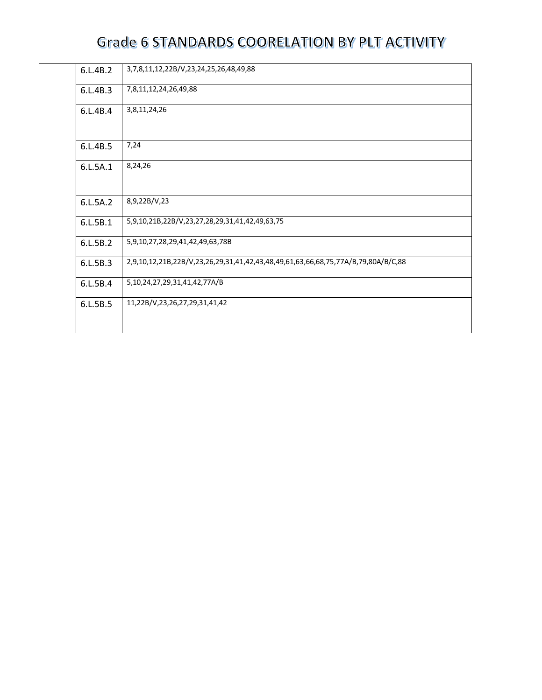| 6.L.4B.2 | 3,7,8,11,12,22B/V,23,24,25,26,48,49,88                                            |
|----------|-----------------------------------------------------------------------------------|
| 6.L.4B.3 | 7,8,11,12,24,26,49,88                                                             |
| 6.L.4B.4 | 3,8,11,24,26                                                                      |
| 6.L.4B.5 | 7,24                                                                              |
| 6.L.5A.1 | 8,24,26                                                                           |
| 6.L.5A.2 | 8,9,22B/V,23                                                                      |
| 6.L.5B.1 | 5,9,10,21B,22B/V,23,27,28,29,31,41,42,49,63,75                                    |
| 6.L.5B.2 | 5,9,10,27,28,29,41,42,49,63,78B                                                   |
| 6.L.5B.3 | 2,9,10,12,21B,22B/V,23,26,29,31,41,42,43,48,49,61,63,66,68,75,77A/B,79,80A/B/C,88 |
| 6.L.5B.4 | 5,10,24,27,29,31,41,42,77A/B                                                      |
| 6.L.5B.5 | 11,22B/V,23,26,27,29,31,41,42                                                     |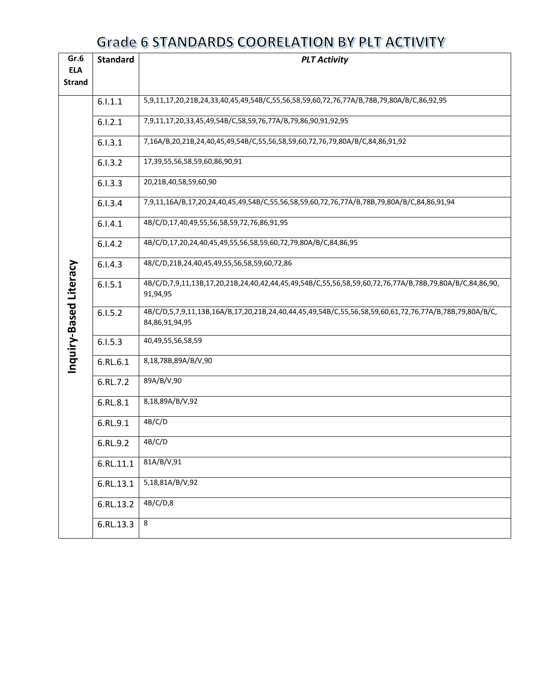| Gr.6                   | <b>Standard</b> | <b>PLT Activity</b>                                                                                                      |  |
|------------------------|-----------------|--------------------------------------------------------------------------------------------------------------------------|--|
| <b>ELA</b>             |                 |                                                                                                                          |  |
| <b>Strand</b>          |                 |                                                                                                                          |  |
|                        | 6.1.1.1         | 5,9,11,17,20,21B,24,33,40,45,49,54B/C,55,56,58,59,60,72,76,77A/B,78B,79,80A/B/C,86,92,95                                 |  |
|                        | 6.1.2.1         | 7,9,11,17,20,33,45,49,54B/C,58,59,76,77A/B,79,86,90,91,92,95                                                             |  |
|                        | 6.1.3.1         | 7,16A/B,20,21B,24,40,45,49,54B/C,55,56,58,59,60,72,76,79,80A/B/C,84,86,91,92                                             |  |
|                        | 6.1.3.2         | 17,39,55,56,58,59,60,86,90,91                                                                                            |  |
|                        | 6.1.3.3         | 20,21B,40,58,59,60,90                                                                                                    |  |
|                        | 6.1.3.4         | 7,9,11,16A/B,17,20,24,40,45,49,54B/C,55,56,58,59,60,72,76,77A/B,78B,79,80A/B/C,84,86,91,94                               |  |
|                        | 6.1.4.1         | 4B/C/D,17,40,49,55,56,58,59,72,76,86,91,95                                                                               |  |
|                        | 6.1.4.2         | 4B/C/D,17,20,24,40,45,49,55,56,58,59,60,72,79,80A/B/C,84,86,95                                                           |  |
|                        | 6.1.4.3         | 48/C/D,21B,24,40,45,49,55,56,58,59,60,72,86                                                                              |  |
| Inquiry-Based Literacy | 6.1.5.1         | 4B/C/D,7,9,11,13B,17,20,21B,24,40,42,44,45,49,54B/C,55,56,58,59,60,72,76,77A/B,78B,79,80A/B/C,84,86,90,<br>91,94,95      |  |
|                        | 6.1.5.2         | 4B/C/D,5,7,9,11,13B,16A/B,17,20,21B,24,40,44,45,49,54B/C,55,56,58,59,60,61,72,76,77A/B,78B,79,80A/B/C,<br>84,86,91,94,95 |  |
|                        | 6.1.5.3         | 40,49,55,56,58,59                                                                                                        |  |
|                        | 6.RL.6.1        | 8,18,78B,89A/B/V,90                                                                                                      |  |
|                        | 6.RL.7.2        | 89A/B/V,90                                                                                                               |  |
|                        | 6.RL.8.1        | 8,18,89A/B/V,92                                                                                                          |  |
|                        | 6.RL.9.1        | 4B/C/D                                                                                                                   |  |
|                        | 6.RL.9.2        | 4B/C/D                                                                                                                   |  |
|                        | 6.RL.11.1       | 81A/B/V,91                                                                                                               |  |
|                        | 6.RL.13.1       | 5,18,81A/B/V,92                                                                                                          |  |
|                        | 6.RL.13.2       | 4B/C/D,8                                                                                                                 |  |
|                        | 6.RL.13.3       | 8                                                                                                                        |  |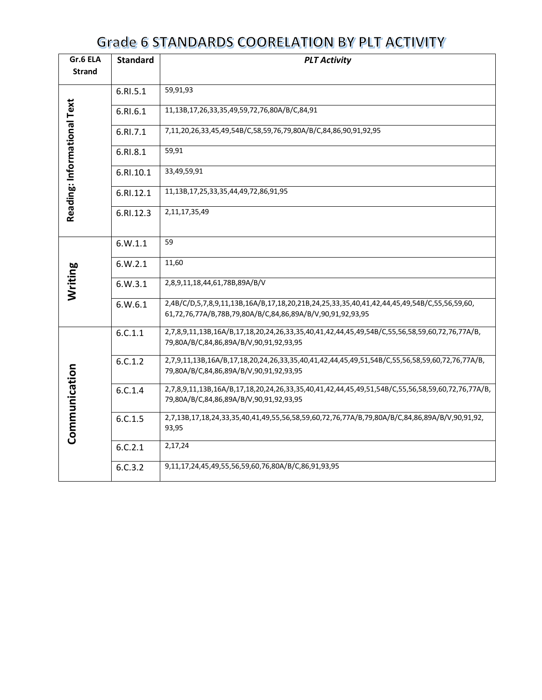| Gr.6 ELA                    | <b>Standard</b> | <b>PLT Activity</b>                                                                                                                                       |  |  |  |
|-----------------------------|-----------------|-----------------------------------------------------------------------------------------------------------------------------------------------------------|--|--|--|
| <b>Strand</b>               |                 |                                                                                                                                                           |  |  |  |
|                             | 6.RI.5.1        | 59,91,93                                                                                                                                                  |  |  |  |
| Reading: Informational Text | 6.RI.6.1        | 11,13B,17,26,33,35,49,59,72,76,80A/B/C,84,91                                                                                                              |  |  |  |
|                             | 6.RI.7.1        | 7,11,20,26,33,45,49,54B/C,58,59,76,79,80A/B/C,84,86,90,91,92,95                                                                                           |  |  |  |
|                             | 6.RI.8.1        | 59,91                                                                                                                                                     |  |  |  |
|                             | 6.RI.10.1       | 33,49,59,91                                                                                                                                               |  |  |  |
|                             | 6.RI.12.1       | 11,13B,17,25,33,35,44,49,72,86,91,95                                                                                                                      |  |  |  |
|                             | 6.RI.12.3       | 2,11,17,35,49                                                                                                                                             |  |  |  |
|                             | 6.W.1.1         | 59                                                                                                                                                        |  |  |  |
|                             | 6.W.2.1         | 11,60                                                                                                                                                     |  |  |  |
| Writing                     | 6.W.3.1         | 2,8,9,11,18,44,61,78B,89A/B/V                                                                                                                             |  |  |  |
|                             | 6. W. 6.1       | 2,4B/C/D,5,7,8,9,11,13B,16A/B,17,18,20,21B,24,25,33,35,40,41,42,44,45,49,54B/C,55,56,59,60,<br>61,72,76,77A/B,78B,79,80A/B/C,84,86,89A/B/V,90,91,92,93,95 |  |  |  |
|                             | 6.C.1.1         | 2,7,8,9,11,13B,16A/B,17,18,20,24,26,33,35,40,41,42,44,45,49,54B/C,55,56,58,59,60,72,76,77A/B,<br>79,80A/B/C,84,86,89A/B/V,90,91,92,93,95                  |  |  |  |
|                             | 6.C.1.2         | 2,7,9,11,13B,16A/B,17,18,20,24,26,33,35,40,41,42,44,45,49,51,54B/C,55,56,58,59,60,72,76,77A/B,<br>79,80A/B/C,84,86,89A/B/V,90,91,92,93,95                 |  |  |  |
|                             | 6.C.1.4         | 2,7,8,9,11,13B,16A/B,17,18,20,24,26,33,35,40,41,42,44,45,49,51,54B/C,55,56,58,59,60,72,76,77A/B,<br>79,80A/B/C,84,86,89A/B/V,90,91,92,93,95               |  |  |  |
| Communication               | 6.C.1.5         | 2,7,13B,17,18,24,33,35,40,41,49,55,56,58,59,60,72,76,77A/B,79,80A/B/C,84,86,89A/B/V,90,91,92,<br>93,95                                                    |  |  |  |
|                             | 6.C.2.1         | 2,17,24                                                                                                                                                   |  |  |  |
|                             | 6.C.3.2         | 9,11,17,24,45,49,55,56,59,60,76,80A/B/C,86,91,93,95                                                                                                       |  |  |  |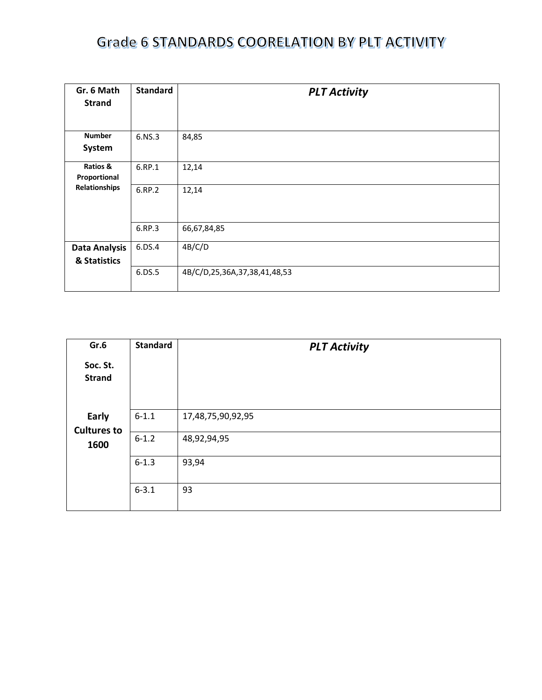| Gr. 6 Math<br><b>Strand</b> | <b>Standard</b> | <b>PLT Activity</b>          |
|-----------------------------|-----------------|------------------------------|
| <b>Number</b>               | 6.NS.3          | 84,85                        |
| System                      |                 |                              |
| Ratios &                    | 6.RP.1          | 12,14                        |
| Proportional                |                 |                              |
| Relationships               | 6.RP.2          | 12,14                        |
|                             | 6.RP.3          | 66,67,84,85                  |
| <b>Data Analysis</b>        | 6.DS.4          | 4B/C/D                       |
| & Statistics                |                 |                              |
|                             | 6.DS.5          | 4B/C/D,25,36A,37,38,41,48,53 |

| Gr.6                        | <b>Standard</b> | <b>PLT Activity</b> |
|-----------------------------|-----------------|---------------------|
| Soc. St.<br><b>Strand</b>   |                 |                     |
| Early<br><b>Cultures to</b> | $6 - 1.1$       | 17,48,75,90,92,95   |
| 1600                        | $6 - 1.2$       | 48,92,94,95         |
|                             | $6 - 1.3$       | 93,94               |
|                             | $6 - 3.1$       | 93                  |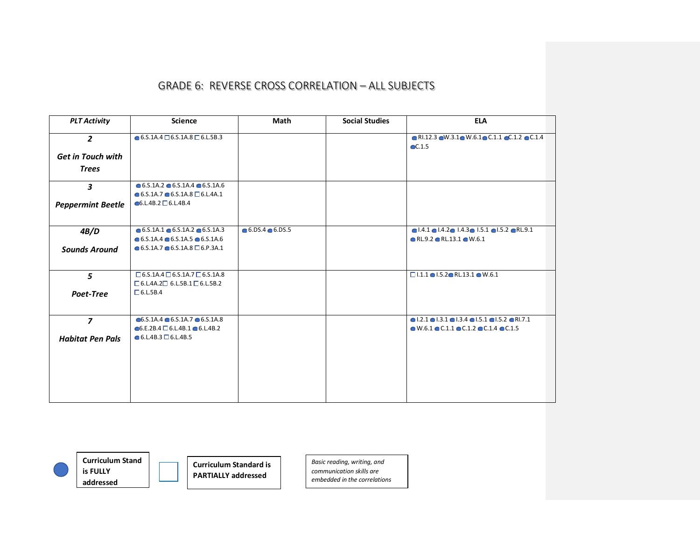| <b>PLT Activity</b>      | <b>Science</b>                                           | Math                    | <b>Social Studies</b> | <b>ELA</b>                                                                                                         |
|--------------------------|----------------------------------------------------------|-------------------------|-----------------------|--------------------------------------------------------------------------------------------------------------------|
| $\overline{2}$           | $\bullet$ 6.5.1A.4 $\Box$ 6.5.1A.8 $\Box$ 6.L.5B.3       |                         |                       | $\bullet$ RI.12.3 $\bullet$ W.3.1 $\bullet$ W.6.1 $\bullet$ C.1.1 $\bullet$ C.1.2 $\bullet$ C.1.4<br>$\odot$ C.1.5 |
| <b>Get in Touch with</b> |                                                          |                         |                       |                                                                                                                    |
| <b>Trees</b>             |                                                          |                         |                       |                                                                                                                    |
| $\mathbf{3}$             | $\bullet$ 6.5.1A.2 $\bullet$ 6.5.1A.4 $\bullet$ 6.5.1A.6 |                         |                       |                                                                                                                    |
|                          | $\bullet$ 6.5.1A.7 $\bullet$ 6.5.1A.8 $\Box$ 6.L.4A.1    |                         |                       |                                                                                                                    |
| <b>Peppermint Beetle</b> | $6. L.4 B.2 \square 6. L.4 B.4$                          |                         |                       |                                                                                                                    |
| 4B/D                     | $\bullet$ 6.5.1A.1 $\bullet$ 6.5.1A.2 $\bullet$ 6.5.1A.3 | $6.05.4 \bullet 6.05.5$ |                       | $\bullet$ 1.4.1 $\bullet$ 1.4.2 $\bullet$ 1.4.3 $\bullet$ 1.5.1 $\bullet$ 1.5.2 $\bullet$ RL.9.1                   |
|                          | $\bullet$ 6.5.1A.4 $\bullet$ 6.5.1A.5 $\bullet$ 6.5.1A.6 |                         |                       | $\bullet$ RL.9.2 $\bullet$ RL.13.1 $\bullet$ W.6.1                                                                 |
| <b>Sounds Around</b>     | $\bullet$ 6.5.1A.7 $\bullet$ 6.5.1A.8 $\Box$ 6.P.3A.1    |                         |                       |                                                                                                                    |
| 5                        | $\Box$ 6.5.1A.4 $\Box$ 6.5.1A.7 $\Box$ 6.5.1A.8          |                         |                       | $\Box$ 1.1.1 $\bigcirc$ 1.5.2 $\bigcirc$ RL.13.1 $\bigcirc$ W.6.1                                                  |
|                          | $\Box$ 6.L.4A.2 $\Box$ 6.L.5B.1 $\Box$ 6.L.5B.2          |                         |                       |                                                                                                                    |
| Poet-Tree                | $\Box$ 6.L.5B.4                                          |                         |                       |                                                                                                                    |
| $\overline{z}$           | $\bullet$ 6.S.1A.4 $\bullet$ 6.S.1A.7 $\bullet$ 6.S.1A.8 |                         |                       | $\bullet$ 1.2.1 $\bullet$ 1.3.1 $\bullet$ 1.3.4 $\bullet$ 1.5.1 $\bullet$ 1.5.2 $\bullet$ R1.7.1                   |
|                          | $\bullet$ 6.E.2B.4 $\Box$ 6.L.4B.1 $\bullet$ 6.L.4B.2    |                         |                       | $\bullet$ W.6.1 $\bullet$ C.1.1 $\bullet$ C.1.2 $\bullet$ C.1.4 $\bullet$ C.1.5                                    |
| <b>Habitat Pen Pals</b>  | $\bullet$ 6.L.4B.3 $\Box$ 6.L.4B.5                       |                         |                       |                                                                                                                    |
|                          |                                                          |                         |                       |                                                                                                                    |
|                          |                                                          |                         |                       |                                                                                                                    |
|                          |                                                          |                         |                       |                                                                                                                    |
|                          |                                                          |                         |                       |                                                                                                                    |



**Curriculum Stand is FULLY addressed**

**Curriculum Standard is PARTIALLY addressed**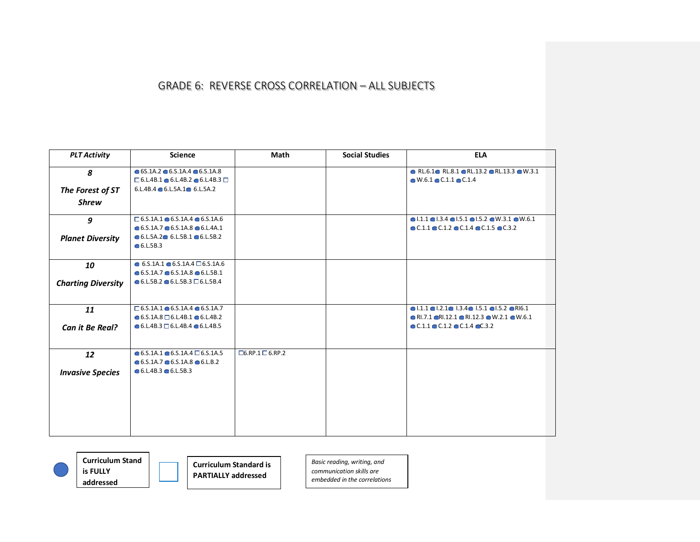| <b>PLT Activity</b>       | <b>Science</b>                                                 | Math                        | <b>Social Studies</b> | <b>ELA</b>                                                                                      |
|---------------------------|----------------------------------------------------------------|-----------------------------|-----------------------|-------------------------------------------------------------------------------------------------|
| 8                         | $\bullet$ 6S.1A.2 $\bullet$ 6.S.1A.4 $\bullet$ 6.S.1A.8        |                             |                       | $\bullet$ RL.6.1 $\bullet$ RL.8.1 $\bullet$ RL.13.2 $\bullet$ RL.13.3 $\bullet$ W.3.1           |
|                           | $\Box$ 6.L.4B.1 $\bigcirc$ 6.L.4B.2 $\bigcirc$ 6.L.4B.3 $\Box$ |                             |                       | $\bullet$ W.6.1 $\bullet$ C.1.1 $\bullet$ C.1.4                                                 |
| The Forest of ST          | $6.L.4B.4 \bullet 6.L.5A.1 \bullet 6.L.5A.2$                   |                             |                       |                                                                                                 |
| <b>Shrew</b>              |                                                                |                             |                       |                                                                                                 |
| 9                         | $\Box$ 6.5.1A.1 $\bullet$ 6.5.1A.4 $\bullet$ 6.5.1A.6          |                             |                       | $\bullet$ 1.1.1 $\bullet$ 1.3.4 $\bullet$ 1.5.1 $\bullet$ 1.5.2 $\bullet$ W.3.1 $\bullet$ W.6.1 |
|                           | $\bullet$ 6.5.1A.7 $\bullet$ 6.5.1A.8 $\bullet$ 6.L.4A.1       |                             |                       | $\bullet$ C.1.1 $\bullet$ C.1.2 $\bullet$ C.1.4 $\bullet$ C.1.5 $\bullet$ C.3.2                 |
| <b>Planet Diversity</b>   | $6. L.5A.2 \cdot 6. L.5B.1 \cdot 6. L.5B.2$                    |                             |                       |                                                                                                 |
|                           | 6. L.5B.3                                                      |                             |                       |                                                                                                 |
| 10                        | $\bullet$ 6.5.1A.1 $\bullet$ 6.5.1A.4 $\Box$ 6.5.1A.6          |                             |                       |                                                                                                 |
|                           | $\bullet$ 6.5.1A.7 $\bullet$ 6.5.1A.8 $\bullet$ 6.L.5B.1       |                             |                       |                                                                                                 |
| <b>Charting Diversity</b> | $\bullet$ 6.L.5B.2 $\bullet$ 6.L.5B.3 $\Box$ 6.L.5B.4          |                             |                       |                                                                                                 |
|                           |                                                                |                             |                       |                                                                                                 |
| 11                        | $\Box$ 6.5.1A.1 $\bullet$ 6.5.1A.4 $\bullet$ 6.5.1A.7          |                             |                       | $\bullet$ 1.1.1 $\bullet$ 1.2.1 $\bullet$ 1.3.4 $\bullet$ 1.5.1 $\bullet$ 1.5.2 $\bullet$ RI6.1 |
|                           | $\bullet$ 6.S.1A.8 $\Box$ 6.L.4B.1 $\bullet$ 6.L.4B.2          |                             |                       | $\bullet$ RI.7.1 $\bullet$ RI.12.1 $\bullet$ RI.12.3 $\bullet$ W.2.1 $\bullet$ W.6.1            |
| Can it Be Real?           | $\bullet$ 6.L.4B.3 $\Box$ 6.L.4B.4 $\bullet$ 6.L.4B.5          |                             |                       | $\bullet$ C.1.1 $\bullet$ C.1.2 $\bullet$ C.1.4 $\bullet$ C.3.2                                 |
|                           |                                                                |                             |                       |                                                                                                 |
| 12                        | $\bullet$ 6.5.1A.1 $\bullet$ 6.5.1A.4 $\Box$ 6.5.1A.5          | $\Box$ 6.RP.1 $\Box$ 6.RP.2 |                       |                                                                                                 |
|                           | $6.5.1A.7 \cdot 6.5.1A.8 \cdot 6.1B.2$                         |                             |                       |                                                                                                 |
| <b>Invasive Species</b>   | $6. L.4B.3$ 6.L.5B.3                                           |                             |                       |                                                                                                 |
|                           |                                                                |                             |                       |                                                                                                 |
|                           |                                                                |                             |                       |                                                                                                 |
|                           |                                                                |                             |                       |                                                                                                 |
|                           |                                                                |                             |                       |                                                                                                 |
|                           |                                                                |                             |                       |                                                                                                 |
|                           |                                                                |                             |                       |                                                                                                 |



**Curriculum Stand is FULLY addressed**

**Curriculum Standard is PARTIALLY addressed**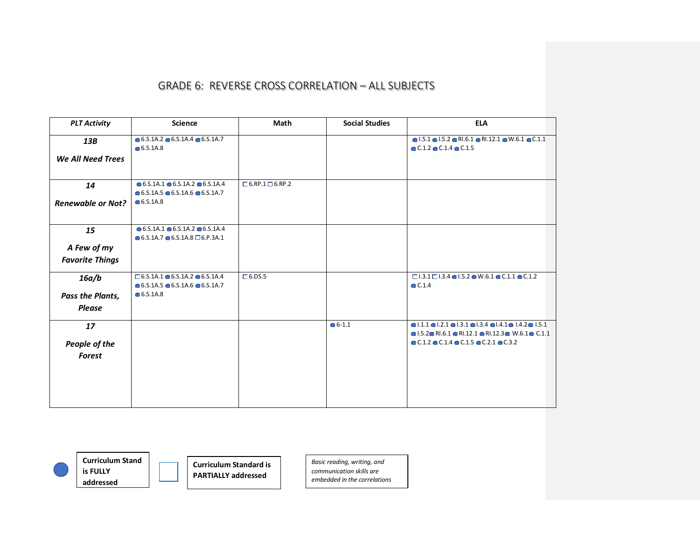| <b>PLT Activity</b>      | <b>Science</b>                                                                                                       | Math                        | <b>Social Studies</b> | <b>ELA</b>                                                                                                                                                                                                              |
|--------------------------|----------------------------------------------------------------------------------------------------------------------|-----------------------------|-----------------------|-------------------------------------------------------------------------------------------------------------------------------------------------------------------------------------------------------------------------|
| 13B                      | $\bullet$ 6.5.1A.2 $\bullet$ 6.5.1A.4 $\bullet$ 6.5.1A.7<br>• 6.5.1A.8                                               |                             |                       | $\bullet$ 1.5.1 $\bullet$ 1.5.2 $\bullet$ RI.6.1 $\bullet$ RI.12.1 $\bullet$ W.6.1 $\bullet$ C.1.1<br>$\bullet$ C.1.2 $\bullet$ C.1.4 $\bullet$ C.1.5                                                                   |
| We All Need Trees        |                                                                                                                      |                             |                       |                                                                                                                                                                                                                         |
| 14                       | $\bullet$ 6.S.1A.1 $\bullet$ 6.S.1A.2 $\bullet$ 6.S.1A.4<br>$\bullet$ 6.S.1A.5 $\bullet$ 6.S.1A.6 $\bullet$ 6.S.1A.7 | $\Box$ 6.RP.1 $\Box$ 6.RP.2 |                       |                                                                                                                                                                                                                         |
| <b>Renewable or Not?</b> | • 6.5.1A.8                                                                                                           |                             |                       |                                                                                                                                                                                                                         |
| 15                       | $\bullet$ 6.5.1A.1 $\bullet$ 6.5.1A.2 $\bullet$ 6.5.1A.4<br>$\bullet$ 6.S.1A.7 $\bullet$ 6.S.1A.8 $\Box$ 6.P.3A.1    |                             |                       |                                                                                                                                                                                                                         |
| A Few of my              |                                                                                                                      |                             |                       |                                                                                                                                                                                                                         |
| <b>Favorite Things</b>   |                                                                                                                      |                             |                       |                                                                                                                                                                                                                         |
| 16a/b                    | $\square$ 6.5.1A.1 $\bullet$ 6.5.1A.2 $\bullet$ 6.5.1A.4<br>$\bullet$ 6.5.1A.5 $\bullet$ 6.5.1A.6 $\bullet$ 6.5.1A.7 | $\Box$ 6.DS.5               |                       | $\Box$ 1.3.1 $\Box$ 1.3.4 $\bigcirc$ 1.5.2 $\bigcirc$ W.6.1 $\bigcirc$ C.1.1 $\bigcirc$ C.1.2<br>$\bullet$ C.1.4                                                                                                        |
| Pass the Plants,         | • 6.5.1A.8                                                                                                           |                             |                       |                                                                                                                                                                                                                         |
| <b>Please</b>            |                                                                                                                      |                             |                       |                                                                                                                                                                                                                         |
| 17                       |                                                                                                                      |                             | $6 - 1.1$             | $\bullet$  .1.1 $\bullet$  .2.1 $\bullet$  .3.1 $\bullet$  .3.4 $\bullet$  .4.1 $\bullet$  .4.2 $\bullet$  .5.1<br>$\bullet$ 1.5.2 $\bullet$ RI.6.1 $\bullet$ RI.12.1 $\bullet$ RI.12.3 $\bullet$ W.6.1 $\bullet$ C.1.1 |
| People of the            |                                                                                                                      |                             |                       | $\bullet$ C.1.2 $\bullet$ C.1.4 $\bullet$ C.1.5 $\bullet$ C.2.1 $\bullet$ C.3.2                                                                                                                                         |
| Forest                   |                                                                                                                      |                             |                       |                                                                                                                                                                                                                         |
|                          |                                                                                                                      |                             |                       |                                                                                                                                                                                                                         |



**Curriculum Stand is FULLY addressed**

**Curriculum Standard is PARTIALLY addressed**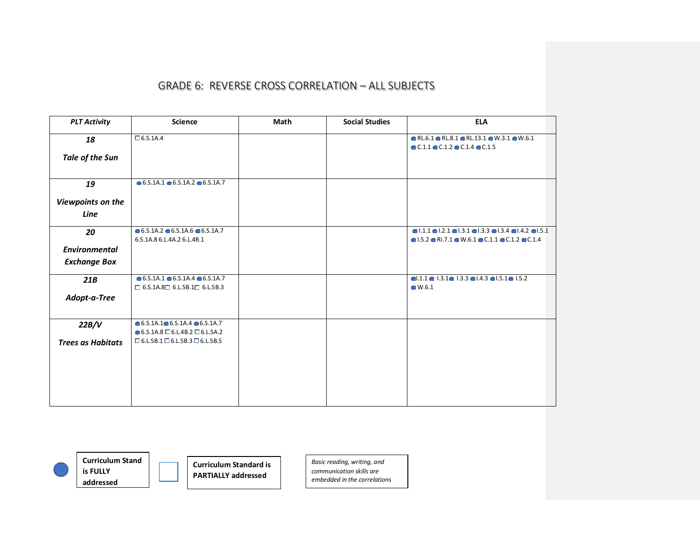| <b>PLT Activity</b>      | <b>Science</b>                                           | Math | <b>Social Studies</b> | <b>ELA</b>                                                                                                                                             |
|--------------------------|----------------------------------------------------------|------|-----------------------|--------------------------------------------------------------------------------------------------------------------------------------------------------|
| 18                       | $\Box$ 6.S.1A.4                                          |      |                       | $\bullet$ RL.6.1 $\bullet$ RL.8.1 $\bullet$ RL.13.1 $\bullet$ W.3.1 $\bullet$ W.6.1<br>$\bullet$ C.1.1 $\bullet$ C.1.2 $\bullet$ C.1.4 $\bullet$ C.1.5 |
| Tale of the Sun          |                                                          |      |                       |                                                                                                                                                        |
| 19                       | $\bullet$ 6.S.1A.1 $\bullet$ 6.S.1A.2 $\bullet$ 6.S.1A.7 |      |                       |                                                                                                                                                        |
| Viewpoints on the        |                                                          |      |                       |                                                                                                                                                        |
| Line                     |                                                          |      |                       |                                                                                                                                                        |
| 20                       | $\bullet$ 6.5.1A.2 $\bullet$ 6.5.1A.6 $\bullet$ 6.5.1A.7 |      |                       | $\bullet$ 1.1.1 $\bullet$ 1.2.1 $\bullet$ 1.3.1 $\bullet$ 1.3.3 $\bullet$ 1.3.4 $\bullet$ 1.4.2 $\bullet$ 1.5.1                                        |
| <b>Environmental</b>     | 6.S.1A.8 6.L.4A.2 6.L.4B.1                               |      |                       | $\bullet$ 1.5.2 $\bullet$ RI.7.1 $\bullet$ W.6.1 $\bullet$ C.1.1 $\bullet$ C.1.2 $\bullet$ C.1.4                                                       |
|                          |                                                          |      |                       |                                                                                                                                                        |
| <b>Exchange Box</b>      |                                                          |      |                       |                                                                                                                                                        |
| 21B                      | $\bullet$ 6.S.1A.1 $\bullet$ 6.S.1A.4 $\bullet$ 6.S.1A.7 |      |                       | $0.1.1$ $0$ $1.3.1$ $0$ $1.3.3$ $0$ $1.4.3$ $0$ $1.5.1$ $0$ $1.5.2$                                                                                    |
|                          | $\Box$ 6.S.1A.8 $\Box$ 6.L.5B.1 $\Box$ 6.L.5B.3          |      |                       | $\bullet$ W.6.1                                                                                                                                        |
| Adopt-a-Tree             |                                                          |      |                       |                                                                                                                                                        |
| 22B/V                    | $\bullet$ 6.S.1A.1 $\bullet$ 6.S.1A.4 $\bullet$ 6.S.1A.7 |      |                       |                                                                                                                                                        |
|                          | $\bullet$ 6.S.1A.8 $\Box$ 6.L.4B.2 $\Box$ 6.L.5A.2       |      |                       |                                                                                                                                                        |
| <b>Trees as Habitats</b> | $\Box$ 6.L.5B.1 $\Box$ 6.L.5B.3 $\Box$ 6.L.5B.5          |      |                       |                                                                                                                                                        |
|                          |                                                          |      |                       |                                                                                                                                                        |
|                          |                                                          |      |                       |                                                                                                                                                        |
|                          |                                                          |      |                       |                                                                                                                                                        |
|                          |                                                          |      |                       |                                                                                                                                                        |
|                          |                                                          |      |                       |                                                                                                                                                        |



**Curriculum Stand is FULLY addressed**

**Curriculum Standard is PARTIALLY addressed**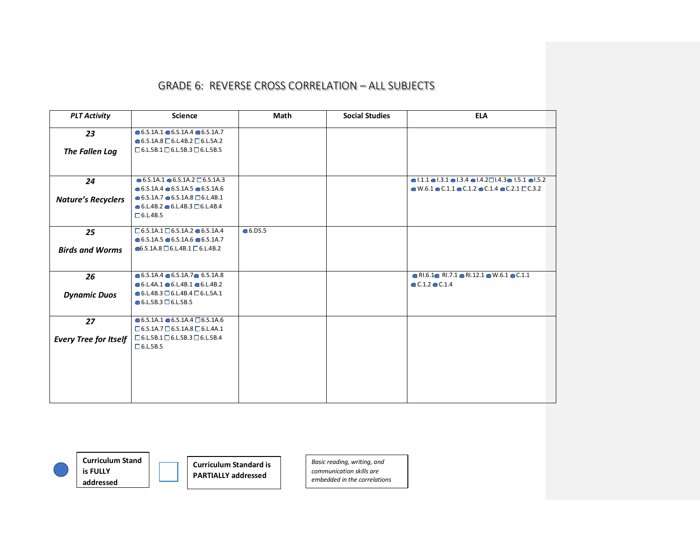| <b>PLT Activity</b>          | <b>Science</b>                                                                                           | Math             | <b>Social Studies</b> | <b>ELA</b>                                                                                                   |
|------------------------------|----------------------------------------------------------------------------------------------------------|------------------|-----------------------|--------------------------------------------------------------------------------------------------------------|
| 23                           | $\bullet$ 6.S.1A.1 $\bullet$ 6.S.1A.4 $\bullet$ 6.S.1A.7                                                 |                  |                       |                                                                                                              |
|                              | $\bullet$ 6.S.1A.8 $\Box$ 6.L.4B.2 $\Box$ 6.L.5A.2                                                       |                  |                       |                                                                                                              |
| The Fallen Log               | $\Box$ 6.L.5B.1 $\Box$ 6.L.5B.3 $\Box$ 6.L.5B.5                                                          |                  |                       |                                                                                                              |
|                              |                                                                                                          |                  |                       |                                                                                                              |
|                              |                                                                                                          |                  |                       |                                                                                                              |
| 24                           | $\bullet$ 6.5.1A.1 $\bullet$ 6.5.1A.2 $\Box$ 6.5.1A.3                                                    |                  |                       | $\bullet$ 1.1.1 $\bullet$ 1.3.1 $\bullet$ 1.3.4 $\bullet$ 1.4.2 $\Box$ 1.4.3 $\bullet$ 1.5.1 $\bullet$ 1.5.2 |
|                              | $\bullet$ 6.S.1A.4 $\bullet$ 6.S.1A.5 $\bullet$ 6.S.1A.6                                                 |                  |                       | $\bullet$ W.6.1 $\bullet$ C.1.1 $\bullet$ C.1.2 $\bullet$ C.1.4 $\bullet$ C.2.1 $\Box$ C.3.2                 |
| <b>Nature's Recyclers</b>    | $\bullet$ 6.5.1A.7 $\bullet$ 6.5.1A.8 $\Box$ 6.L.4B.1                                                    |                  |                       |                                                                                                              |
|                              | $\bullet$ 6.L.4B.2 $\bullet$ 6.L.4B.3 $\Box$ 6.L.4B.4                                                    |                  |                       |                                                                                                              |
|                              | $\Box$ 6.L.4B.5                                                                                          |                  |                       |                                                                                                              |
| 25                           | $\square$ 6.S.1A.1 $\square$ 6.S.1A.2 $\bullet$ 6.S.1A.4                                                 | $\bullet$ 6.DS.5 |                       |                                                                                                              |
|                              | $\bullet$ 6.S.1A.5 $\bullet$ 6.S.1A.6 $\bullet$ 6.S.1A.7                                                 |                  |                       |                                                                                                              |
| <b>Birds and Worms</b>       | $\bigcirc$ 6.5.1A.8 $\Box$ 6.L.4B.1 $\Box$ 6.L.4B.2                                                      |                  |                       |                                                                                                              |
|                              |                                                                                                          |                  |                       |                                                                                                              |
|                              |                                                                                                          |                  |                       |                                                                                                              |
| 26                           | $\bullet$ 6.5.1A.4 $\bullet$ 6.5.1A.7 $\bullet$ 6.5.1A.8                                                 |                  |                       | $\bullet$ RI.6.1 $\bullet$ RI.7.1 $\bullet$ RI.12.1 $\bullet$ W.6.1 $\bullet$ C.1.1                          |
|                              | $\bullet$ 6.L.4A.1 $\bullet$ 6.L.4B.1 $\bullet$ 6.L.4B.2                                                 |                  |                       | $C.1.2$ $C.1.4$                                                                                              |
| <b>Dynamic Duos</b>          | $\bullet$ 6.L.4B.3 $\Box$ 6.L.4B.4 $\Box$ 6.L.5A.1                                                       |                  |                       |                                                                                                              |
|                              | $\bullet$ 6.L.5B.3 $\Box$ 6.L.5B.5                                                                       |                  |                       |                                                                                                              |
|                              |                                                                                                          |                  |                       |                                                                                                              |
| 27                           | $\bullet$ 6.S.1A.1 $\bullet$ 6.S.1A.4 $\Box$ 6.S.1A.6<br>$\Box$ 6.5.1A.7 $\Box$ 6.5.1A.8 $\Box$ 6.L.4A.1 |                  |                       |                                                                                                              |
|                              | $\Box$ 6.L.5B.1 $\Box$ 6.L.5B.3 $\Box$ 6.L.5B.4                                                          |                  |                       |                                                                                                              |
| <b>Every Tree for Itself</b> | $\Box$ 6.L.5B.5                                                                                          |                  |                       |                                                                                                              |
|                              |                                                                                                          |                  |                       |                                                                                                              |
|                              |                                                                                                          |                  |                       |                                                                                                              |
|                              |                                                                                                          |                  |                       |                                                                                                              |
|                              |                                                                                                          |                  |                       |                                                                                                              |
|                              |                                                                                                          |                  |                       |                                                                                                              |
|                              |                                                                                                          |                  |                       |                                                                                                              |



**Curriculum Stand is FULLY addressed**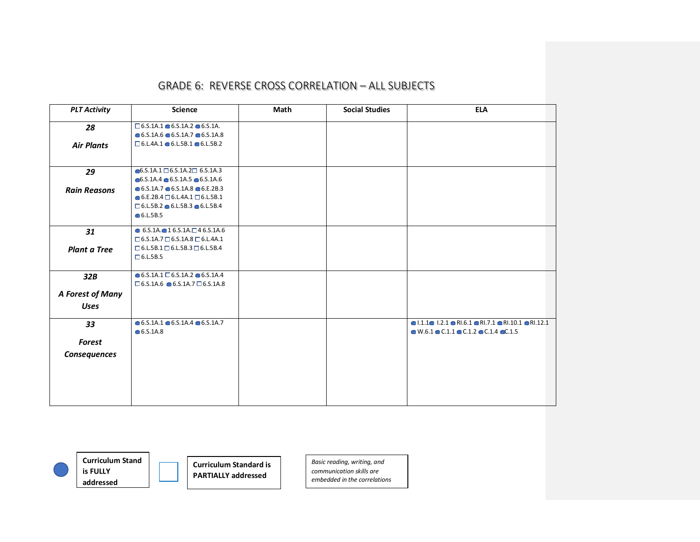| <b>PLT Activity</b> | Science                                                                                                              | Math | <b>Social Studies</b> | <b>ELA</b>                                                                                            |
|---------------------|----------------------------------------------------------------------------------------------------------------------|------|-----------------------|-------------------------------------------------------------------------------------------------------|
| 28                  | $\square$ 6.5.1A.1 $\bullet$ 6.5.1A.2 $\bullet$ 6.5.1A.                                                              |      |                       |                                                                                                       |
|                     | $\bullet$ 6.5.1A.6 $\bullet$ 6.5.1A.7 $\bullet$ 6.5.1A.8                                                             |      |                       |                                                                                                       |
| <b>Air Plants</b>   | $\square$ 6.L.4A.1 $\bullet$ 6.L.5B.1 $\bullet$ 6.L.5B.2                                                             |      |                       |                                                                                                       |
| 29                  | $\bullet$ 6.S.1A.1 $\square$ 6.S.1A.2 $\square$ 6.S.1A.3                                                             |      |                       |                                                                                                       |
|                     | $\bullet$ 6.S.1A.4 $\bullet$ 6.S.1A.5 $\bullet$ 6.S.1A.6<br>$\bullet$ 6.5.1A.7 $\bullet$ 6.5.1A.8 $\bullet$ 6.E.2B.3 |      |                       |                                                                                                       |
| <b>Rain Reasons</b> | $\bullet$ 6.E.2B.4 $\Box$ 6.L.4A.1 $\Box$ 6.L.5B.1                                                                   |      |                       |                                                                                                       |
|                     | $\square$ 6.L.5B.2 $\bullet$ 6.L.5B.3 $\bullet$ 6.L.5B.4                                                             |      |                       |                                                                                                       |
|                     | • 6.L.5B.5                                                                                                           |      |                       |                                                                                                       |
| 31                  | $\bullet$ 6.5.1A. $\bullet$ 1 6.5.1A. $\Box$ 4 6.5.1A.6                                                              |      |                       |                                                                                                       |
|                     | $\Box$ 6.S.1A.7 $\Box$ 6.S.1A.8 $\Box$ 6.L.4A.1                                                                      |      |                       |                                                                                                       |
| <b>Plant a Tree</b> | $\Box$ 6.L.5B.1 $\Box$ 6.L.5B.3 $\Box$ 6.L.5B.4<br>$\Box$ 6.L.5B.5                                                   |      |                       |                                                                                                       |
|                     |                                                                                                                      |      |                       |                                                                                                       |
| 32B                 | $\bullet$ 6.5.1A.1 $\Box$ 6.5.1A.2 $\bullet$ 6.5.1A.4                                                                |      |                       |                                                                                                       |
|                     | $\Box$ 6.5.1A.6 $\bigcirc$ 6.5.1A.7 $\Box$ 6.5.1A.8                                                                  |      |                       |                                                                                                       |
| A Forest of Many    |                                                                                                                      |      |                       |                                                                                                       |
| <b>Uses</b>         |                                                                                                                      |      |                       |                                                                                                       |
| 33                  | $\bullet$ 6.5.1A.1 $\bullet$ 6.5.1A.4 $\bullet$ 6.5.1A.7                                                             |      |                       | $\bullet$ 1.1.1 $\bullet$ 1.2.1 $\bullet$ RI.6.1 $\bullet$ RI.7.1 $\bullet$ RI.10.1 $\bullet$ RI.12.1 |
|                     | • 6.5.1A.8                                                                                                           |      |                       | $\bullet$ W.6.1 $\bullet$ C.1.1 $\bullet$ C.1.2 $\bullet$ C.1.4 $\bullet$ C.1.5                       |
| Forest              |                                                                                                                      |      |                       |                                                                                                       |
| Consequences        |                                                                                                                      |      |                       |                                                                                                       |
|                     |                                                                                                                      |      |                       |                                                                                                       |
|                     |                                                                                                                      |      |                       |                                                                                                       |
|                     |                                                                                                                      |      |                       |                                                                                                       |
|                     |                                                                                                                      |      |                       |                                                                                                       |



**Curriculum Stand is FULLY addressed**

**Curriculum Standard is PARTIALLY addressed**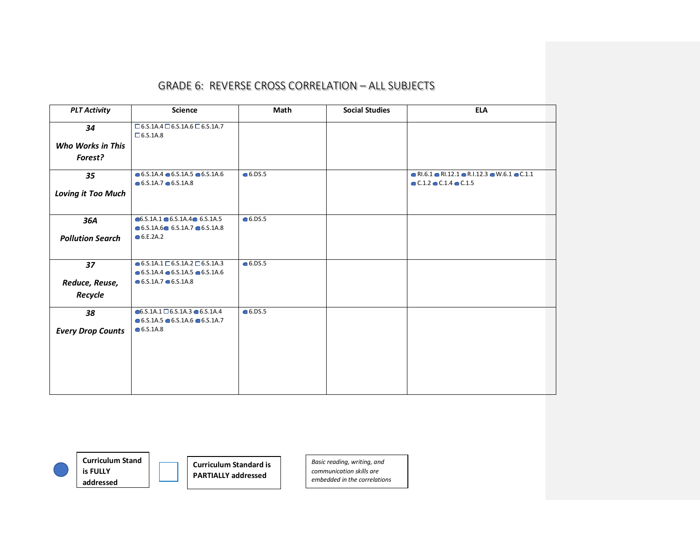| <b>PLT Activity</b>       | <b>Science</b>                                                     | <b>Math</b>      | <b>Social Studies</b> | <b>ELA</b>                                                                            |
|---------------------------|--------------------------------------------------------------------|------------------|-----------------------|---------------------------------------------------------------------------------------|
| 34                        | $\Box$ 6.S.1A.4 $\Box$ 6.S.1A.6 $\Box$ 6.S.1A.7<br>$\Box$ 6.5.1A.8 |                  |                       |                                                                                       |
| <b>Who Works in This</b>  |                                                                    |                  |                       |                                                                                       |
| Forest?                   |                                                                    |                  |                       |                                                                                       |
| 35                        | $\bullet$ 6.5.1A.4 $\bullet$ 6.5.1A.5 $\bullet$ 6.5.1A.6           | • 6.DS.5         |                       | $\bullet$ RI.6.1 $\bullet$ RI.12.1 $\bullet$ R.I.12.3 $\bullet$ W.6.1 $\bullet$ C.1.1 |
|                           | $\bullet$ 6.5.1A.7 $\bullet$ 6.5.1A.8                              |                  |                       | $C.1.2$ C.1.4 C.1.5                                                                   |
| <b>Loving it Too Much</b> |                                                                    |                  |                       |                                                                                       |
| 36A                       | $\bullet$ 6.S.1A.1 $\bullet$ 6.S.1A.4 $\bullet$ 6.S.1A.5           | $\bullet$ 6.DS.5 |                       |                                                                                       |
|                           | $\bullet$ 6.5.1A.6 $\bullet$ 6.5.1A.7 $\bullet$ 6.5.1A.8           |                  |                       |                                                                                       |
| <b>Pollution Search</b>   | • 6.E.2A.2                                                         |                  |                       |                                                                                       |
| 37                        | $\bullet$ 6.5.1A.1 $\Box$ 6.5.1A.2 $\Box$ 6.5.1A.3                 | $\bullet$ 6.DS.5 |                       |                                                                                       |
|                           | $\bullet$ 6.5.1A.4 $\bullet$ 6.5.1A.5 $\bullet$ 6.5.1A.6           |                  |                       |                                                                                       |
| Reduce, Reuse,            | $\bullet$ 6.5.1A.7 $\bullet$ 6.5.1A.8                              |                  |                       |                                                                                       |
| Recycle                   |                                                                    |                  |                       |                                                                                       |
| 38                        | $6.5.1A.1 \square 6.5.1A.3 \square 6.5.1A.4$                       | $\bullet$ 6.DS.5 |                       |                                                                                       |
|                           | $\bullet$ 6.5.1A.5 $\bullet$ 6.S.1A.6 $\bullet$ 6.S.1A.7           |                  |                       |                                                                                       |
| <b>Every Drop Counts</b>  | • 6.5.1A.8                                                         |                  |                       |                                                                                       |
|                           |                                                                    |                  |                       |                                                                                       |
|                           |                                                                    |                  |                       |                                                                                       |
|                           |                                                                    |                  |                       |                                                                                       |
|                           |                                                                    |                  |                       |                                                                                       |
|                           |                                                                    |                  |                       |                                                                                       |
|                           |                                                                    |                  |                       |                                                                                       |

**is FULLY addressed**

**Curriculum Stand Curriculum Standard is PARTIALLY addressed**

*Basic reading, writing, and* 

*communication skills are embedded in the correlations*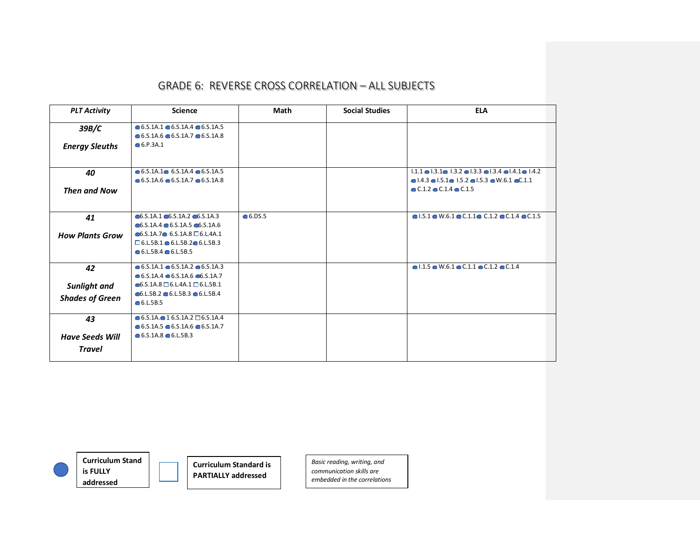| <b>PLT Activity</b>    | Science                                                                                                                                          | Math     | <b>Social Studies</b> | <b>ELA</b>                                                                                                                                                                                     |
|------------------------|--------------------------------------------------------------------------------------------------------------------------------------------------|----------|-----------------------|------------------------------------------------------------------------------------------------------------------------------------------------------------------------------------------------|
| 39B/C                  | $\bullet$ 6.S.1A.1 $\bullet$ 6.S.1A.4 $\bullet$ 6.S.1A.5<br>$\bullet$ 6.5.1A.6 $\bullet$ 6.5.1A.7 $\bullet$ 6.5.1A.8                             |          |                       |                                                                                                                                                                                                |
| <b>Energy Sleuths</b>  | 6.9.3A.1                                                                                                                                         |          |                       |                                                                                                                                                                                                |
| 40                     | $\bullet$ 6.5.1A.1 $\bullet$ 6.5.1A.4 $\bullet$ 6.5.1A.5<br>$\bullet$ 6.5.1A.6 $\bullet$ 6.5.1A.7 $\bullet$ 6.5.1A.8                             |          |                       | $1.1.1 \bullet 1.3.1 \bullet 1.3.2 \bullet 1.3.3 \bullet 1.3.4 \bullet 1.4.1 \bullet 1.4.2$<br>$\bullet$ 1.4.3 $\bullet$ 1.5.1 $\bullet$ 1.5.2 $\bullet$ 1.5.3 $\bullet$ W.6.1 $\bullet$ C.1.1 |
| <b>Then and Now</b>    |                                                                                                                                                  |          |                       | $\bullet$ C.1.2 $\bullet$ C.1.4 $\bullet$ C.1.5                                                                                                                                                |
| 41                     | $\bigcirc$ 6.5.1A.1 $\bigcirc$ 6.5.1A.2 $\bigcirc$ 6.5.1A.3<br>$\bullet$ 6.S.1A.4 $\bullet$ 6.S.1A.5 $\bullet$ 6.S.1A.6                          | • 6.DS.5 |                       | $\bullet$ 1.5.1 $\bullet$ W.6.1 $\bullet$ C.1.1 $\bullet$ C.1.2 $\bullet$ C.1.4 $\bullet$ C.1.5                                                                                                |
| <b>How Plants Grow</b> | $\bullet$ 6.S.1A.7 $\bullet$ 6.S.1A.8 $\Box$ 6.L.4A.1<br>$\square$ 6.L.5B.1 $\bullet$ 6.L.5B.2 $\bullet$ 6.L.5B.3<br>$6. L.5B.4 \cdot 6. L.5B.5$ |          |                       |                                                                                                                                                                                                |
| 42                     | $\bullet$ 6.5.1A.1 $\bullet$ 6.5.1A.2 $\bullet$ 6.5.1A.3<br>$\bullet$ 6.5.1A.4 $\bullet$ 6.5.1A.6 $\bullet$ 6.5.1A.7                             |          |                       | $\bullet$ 1.1.5 $\bullet$ W.6.1 $\bullet$ C.1.1 $\bullet$ C.1.2 $\bullet$ C.1.4                                                                                                                |
| Sunlight and           | $\bigcirc$ 6.5.1A.8 $\Box$ 6.L.4A.1 $\Box$ 6.L.5B.1                                                                                              |          |                       |                                                                                                                                                                                                |
| <b>Shades of Green</b> | $\bullet$ 6.L.5B.2 $\bullet$ 6.L.5B.3 $\bullet$ 6.L.5B.4<br>• 6.L.5B.5                                                                           |          |                       |                                                                                                                                                                                                |
| 43                     | $\bullet$ 6.5.1A. $\bullet$ 1 6.5.1A.2 $\Box$ 6.5.1A.4<br>$\bullet$ 6.5.1A.5 $\bullet$ 6.5.1A.6 $\bullet$ 6.5.1A.7                               |          |                       |                                                                                                                                                                                                |
| <b>Have Seeds Will</b> | $\bullet$ 6.S.1A.8 $\bullet$ 6.L.5B.3                                                                                                            |          |                       |                                                                                                                                                                                                |
| <b>Travel</b>          |                                                                                                                                                  |          |                       |                                                                                                                                                                                                |



**Curriculum Stand is FULLY addressed**

**Curriculum Standard is PARTIALLY addressed**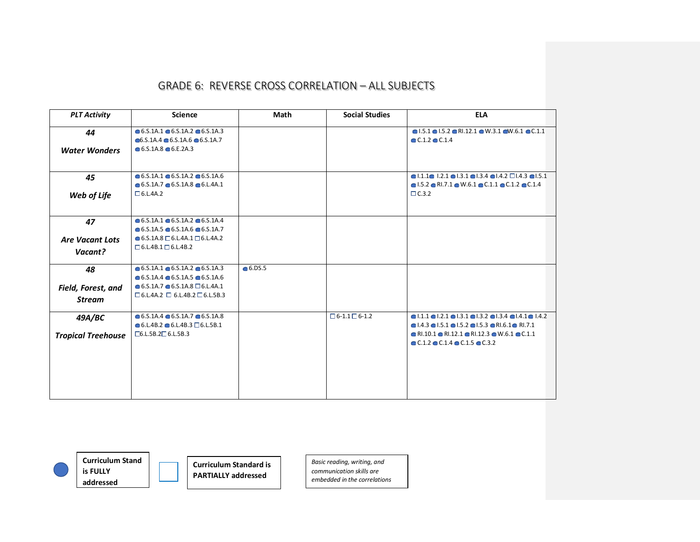| <b>PLT Activity</b>       | <b>Science</b>                                                                                                       | <b>Math</b> | <b>Social Studies</b>     | <b>ELA</b>                                                                                                                                                                                                       |
|---------------------------|----------------------------------------------------------------------------------------------------------------------|-------------|---------------------------|------------------------------------------------------------------------------------------------------------------------------------------------------------------------------------------------------------------|
| 44                        | $\bullet$ 6.5.1A.1 $\bullet$ 6.5.1A.2 $\bullet$ 6.5.1A.3<br>$\bullet$ 6.S.1A.4 $\bullet$ 6.S.1A.6 $\bullet$ 6.S.1A.7 |             |                           | $\bullet$ 1.5.1 $\bullet$ 1.5.2 $\bullet$ RI.12.1 $\bullet$ W.3.1 $\bullet$ W.6.1 $\bullet$ C.1.1<br>$C.1.2$ $C.1.4$                                                                                             |
| <b>Water Wonders</b>      | $\bullet$ 6.5.1A.8 $\bullet$ 6.E.2A.3                                                                                |             |                           |                                                                                                                                                                                                                  |
| 45                        | $\bullet$ 6.S.1A.1 $\bullet$ 6.S.1A.2 $\bullet$ 6.S.1A.6<br>$\bullet$ 6.5.1A.7 $\bullet$ 6.5.1A.8 $\bullet$ 6.L.4A.1 |             |                           | $\bullet$ 1.1.1 $\bullet$ 1.2.1 $\bullet$ 1.3.1 $\bullet$ 1.3.4 $\bullet$ 1.4.2 $\Box$ 1.4.3 $\bullet$ 1.5.1<br>$\bullet$ 1.5.2 $\bullet$ RI.7.1 $\bullet$ W.6.1 $\bullet$ C.1.1 $\bullet$ C.1.2 $\bullet$ C.1.4 |
| Web of Life               | $\Box$ 6.L.4A.2                                                                                                      |             |                           | $\Box$ C.3.2                                                                                                                                                                                                     |
| 47                        | $\bullet$ 6.5.1A.1 $\bullet$ 6.5.1A.2 $\bullet$ 6.5.1A.4<br>$\bullet$ 6.5.1A.5 $\bullet$ 6.5.1A.6 $\bullet$ 6.5.1A.7 |             |                           |                                                                                                                                                                                                                  |
| <b>Are Vacant Lots</b>    | $\bullet$ 6.5.1A.8 $\Box$ 6.L.4A.1 $\Box$ 6.L.4A.2                                                                   |             |                           |                                                                                                                                                                                                                  |
| Vacant?                   | $\Box$ 6.L.4B.1 $\Box$ 6.L.4B.2                                                                                      |             |                           |                                                                                                                                                                                                                  |
| 48                        | $\bullet$ 6.5.1A.1 $\bullet$ 6.5.1A.2 $\bullet$ 6.5.1A.3<br>$\bullet$ 6.5.1A.4 $\bullet$ 6.5.1A.5 $\bullet$ 6.5.1A.6 | 6.05.5      |                           |                                                                                                                                                                                                                  |
|                           | $\bullet$ 6.5.1A.7 $\bullet$ 6.5.1A.8 $\Box$ 6.L.4A.1                                                                |             |                           |                                                                                                                                                                                                                  |
| Field, Forest, and        | $\Box$ 6.L.4A.2 $\Box$ 6.L.4B.2 $\Box$ 6.L.5B.3                                                                      |             |                           |                                                                                                                                                                                                                  |
| <b>Stream</b>             |                                                                                                                      |             |                           |                                                                                                                                                                                                                  |
| 49A/BC                    | $\bullet$ 6.5.1A.4 $\bullet$ 6.5.1A.7 $\bullet$ 6.5.1A.8                                                             |             | $\Box$ 6-1.1 $\Box$ 6-1.2 | $\bullet$ 1.1.1 $\bullet$ 1.2.1 $\bullet$ 1.3.1 $\bullet$ 1.3.2 $\bullet$ 1.3.4 $\bullet$ 1.4.1 $\bullet$ 1.4.2                                                                                                  |
|                           | $\bullet$ 6.L.4B.2 $\bullet$ 6.L.4B.3 $\Box$ 6.L.5B.1                                                                |             |                           | $\bullet$ 1.4.3 $\bullet$ 1.5.1 $\bullet$ 1.5.2 $\bullet$ 1.5.3 $\bullet$ R1.6.1 $\bullet$ R1.7.1                                                                                                                |
| <b>Tropical Treehouse</b> | $\Box$ 6.L.5B.2 $\Box$ 6.L.5B.3                                                                                      |             |                           | $\bullet$ RI.10.1 $\bullet$ RI.12.1 $\bullet$ RI.12.3 $\bullet$ W.6.1 $\bullet$ C.1.1<br>$\bullet$ C.1.2 $\bullet$ C.1.4 $\bullet$ C.1.5 $\bullet$ C.3.2                                                         |
|                           |                                                                                                                      |             |                           |                                                                                                                                                                                                                  |
|                           |                                                                                                                      |             |                           |                                                                                                                                                                                                                  |
|                           |                                                                                                                      |             |                           |                                                                                                                                                                                                                  |
|                           |                                                                                                                      |             |                           |                                                                                                                                                                                                                  |
|                           |                                                                                                                      |             |                           |                                                                                                                                                                                                                  |



**is FULLY** 

**Curriculum Stand addressed**

**Curriculum Standard is PARTIALLY addressed**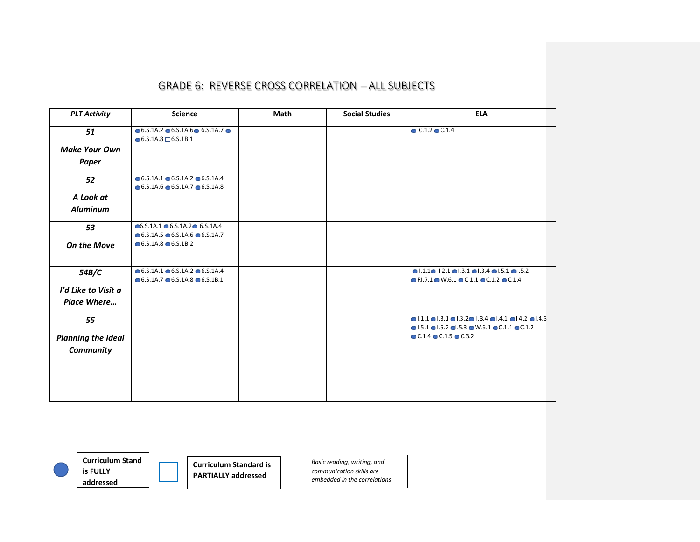| <b>PLT Activity</b>       | <b>Science</b>                                                                                                       | Math | <b>Social Studies</b> | <b>ELA</b>                                                                                                                                                                                                         |
|---------------------------|----------------------------------------------------------------------------------------------------------------------|------|-----------------------|--------------------------------------------------------------------------------------------------------------------------------------------------------------------------------------------------------------------|
| 51                        | $\bullet$ 6.5.1A.2 $\bullet$ 6.5.1A.6 $\bullet$ 6.5.1A.7 $\bullet$<br>$\bullet$ 6.5.1A.8 $\Box$ 6.5.1B.1             |      |                       | $C.1.2$ $C.1.4$                                                                                                                                                                                                    |
| <b>Make Your Own</b>      |                                                                                                                      |      |                       |                                                                                                                                                                                                                    |
| <b>Paper</b>              |                                                                                                                      |      |                       |                                                                                                                                                                                                                    |
| 52                        | $\bullet$ 6.5.1A.1 $\bullet$ 6.5.1A.2 $\bullet$ 6.5.1A.4<br>$\bullet$ 6.5.1A.6 $\bullet$ 6.5.1A.7 $\bullet$ 6.5.1A.8 |      |                       |                                                                                                                                                                                                                    |
| A Look at                 |                                                                                                                      |      |                       |                                                                                                                                                                                                                    |
| <b>Aluminum</b>           |                                                                                                                      |      |                       |                                                                                                                                                                                                                    |
| 53                        | $\bullet$ 6.S.1A.1 $\bullet$ 6.S.1A.2 $\bullet$ 6.S.1A.4<br>$\bullet$ 6.S.1A.5 $\bullet$ 6.S.1A.6 $\bullet$ 6.S.1A.7 |      |                       |                                                                                                                                                                                                                    |
| <b>On the Move</b>        | $\bullet$ 6.5.1A.8 $\bullet$ 6.5.1B.2                                                                                |      |                       |                                                                                                                                                                                                                    |
| 54B/C                     | $\bullet$ 6.5.1A.1 $\bullet$ 6.5.1A.2 $\bullet$ 6.5.1A.4<br>$\bullet$ 6.5.1A.7 $\bullet$ 6.5.1A.8 $\bullet$ 6.5.1B.1 |      |                       | $\bullet$ 1.1.1 $\bullet$ 1.2.1 $\bullet$ 1.3.1 $\bullet$ 1.3.4 $\bullet$ 1.5.1 $\bullet$ 1.5.2<br>$\bullet$ RI.7.1 $\bullet$ W.6.1 $\bullet$ C.1.1 $\bullet$ C.1.2 $\bullet$ C.1.4                                |
| I'd Like to Visit a       |                                                                                                                      |      |                       |                                                                                                                                                                                                                    |
| Place Where               |                                                                                                                      |      |                       |                                                                                                                                                                                                                    |
| 55                        |                                                                                                                      |      |                       | $\bullet$ 1.1.1 $\bullet$ 1.3.1 $\bullet$ 1.3.2 $\bullet$ 1.3.4 $\bullet$ 1.4.1 $\bullet$ 1.4.2 $\bullet$ 1.4.3<br>$\bullet$ 1.5.1 $\bullet$ 1.5.2 $\bullet$ 1.5.3 $\bullet$ W.6.1 $\bullet$ C.1.1 $\bullet$ C.1.2 |
| <b>Planning the Ideal</b> |                                                                                                                      |      |                       | $\bullet$ C.1.4 $\bullet$ C.1.5 $\bullet$ C.3.2                                                                                                                                                                    |
| Community                 |                                                                                                                      |      |                       |                                                                                                                                                                                                                    |
|                           |                                                                                                                      |      |                       |                                                                                                                                                                                                                    |
|                           |                                                                                                                      |      |                       |                                                                                                                                                                                                                    |
|                           |                                                                                                                      |      |                       |                                                                                                                                                                                                                    |
|                           |                                                                                                                      |      |                       |                                                                                                                                                                                                                    |



**is FULLY addressed**

**Curriculum Stand** 

**Curriculum Standard is PARTIALLY addressed**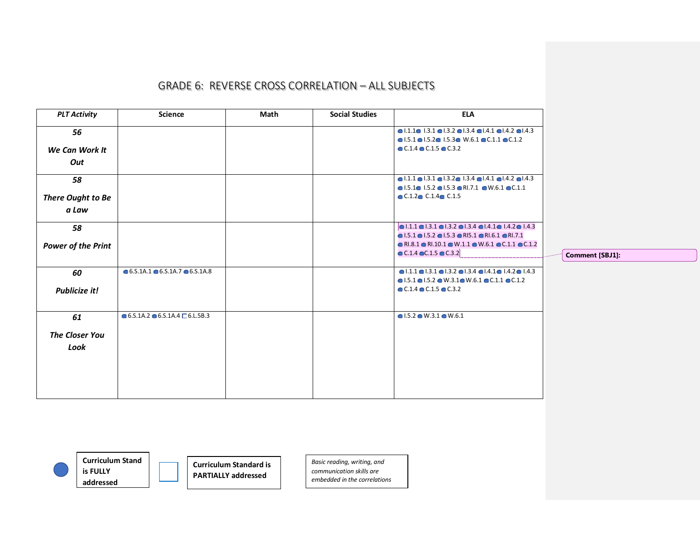| $\bullet$ 1.1.1 $\bullet$ 1.3.1 $\bullet$ 1.3.2 $\bullet$ 1.3.4 $\bullet$ 1.4.1 $\bullet$ 1.4.2 $\bullet$ 1.4.3<br>56<br>$\bullet$ 1.5.1 $\bullet$ 1.5.2 $\bullet$ 1.5.3 $\bullet$ W.6.1 $\bullet$ C.1.1 $\bullet$ C.1.2<br>$\bullet$ C.1.4 $\bullet$ C.1.5 $\bullet$ C.3.2<br>We Can Work It<br>Out<br>$\bullet$ 1.1.1 $\bullet$ 1.3.1 $\bullet$ 1.3.2 $\bullet$ 1.3.4 $\bullet$ 1.4.1 $\bullet$ 1.4.2 $\bullet$ 1.4.3<br>58<br>$\bullet$ 1.5.1 $\bullet$ 1.5.2 $\bullet$ 1.5.3 $\bullet$ RI.7.1 $\bullet$ W.6.1 $\bullet$ C.1.1<br>$\bullet$ C.1.2 $\bullet$ C.1.4 $\bullet$ C.1.5<br>There Ought to Be<br>a Law<br>$\bullet$ 1.1.1 $\bullet$ 1.3.1 $\bullet$ 1.3.2 $\bullet$ 1.3.4 $\bullet$ 1.4.1 $\bullet$ 1.4.2 $\bullet$ 1.4.3<br>58<br>$\bullet$ 1.5.1 $\bullet$ 1.5.2 $\bullet$ 1.5.3 $\bullet$ RI5.1 $\bullet$ RI.6.1 $\bullet$ RI.7.1<br>$\bullet$ RI.8.1 $\bullet$ RI.10.1 $\bullet$ W.1.1 $\bullet$ W.6.1 $\bullet$ C.1.1 $\bullet$ C.1.2<br><b>Power of the Print</b><br>$\bullet$ C.1.4 $\bullet$ C.1.5 $\bullet$ C.3.2<br>Comment [SBJ1]:<br>$\bullet$ 6.5.1A.1 $\bullet$ 6.5.1A.7 $\bullet$ 6.5.1A.8<br>$\bullet$  .1.1 $\bullet$  .3.1 $\bullet$  .3.2 $\bullet$  .3.4 $\bullet$  .4.1 $\bullet$  .4.2 $\bullet$  .4.3<br>60<br>$\bullet$ 1.5.1 $\bullet$ 1.5.2 $\bullet$ W.3.1 $\bullet$ W.6.1 $\bullet$ C.1.1 $\bullet$ C.1.2<br>$\bullet$ C.1.4 $\bullet$ C.1.5 $\bullet$ C.3.2<br><b>Publicize it!</b><br>$\bullet$ 6.S.1A.2 $\bullet$ 6.S.1A.4 $\Box$ 6.L.5B.3<br>$\bullet$ 1.5.2 $\bullet$ W.3.1 $\bullet$ W.6.1<br>61<br><b>The Closer You</b><br>Look | <b>PLT Activity</b> | Science | Math | <b>Social Studies</b> | <b>ELA</b> |  |
|---------------------------------------------------------------------------------------------------------------------------------------------------------------------------------------------------------------------------------------------------------------------------------------------------------------------------------------------------------------------------------------------------------------------------------------------------------------------------------------------------------------------------------------------------------------------------------------------------------------------------------------------------------------------------------------------------------------------------------------------------------------------------------------------------------------------------------------------------------------------------------------------------------------------------------------------------------------------------------------------------------------------------------------------------------------------------------------------------------------------------------------------------------------------------------------------------------------------------------------------------------------------------------------------------------------------------------------------------------------------------------------------------------------------------------------------------------------------------------------------------------------------------------------------------------------------------------|---------------------|---------|------|-----------------------|------------|--|
|                                                                                                                                                                                                                                                                                                                                                                                                                                                                                                                                                                                                                                                                                                                                                                                                                                                                                                                                                                                                                                                                                                                                                                                                                                                                                                                                                                                                                                                                                                                                                                                 |                     |         |      |                       |            |  |
|                                                                                                                                                                                                                                                                                                                                                                                                                                                                                                                                                                                                                                                                                                                                                                                                                                                                                                                                                                                                                                                                                                                                                                                                                                                                                                                                                                                                                                                                                                                                                                                 |                     |         |      |                       |            |  |
|                                                                                                                                                                                                                                                                                                                                                                                                                                                                                                                                                                                                                                                                                                                                                                                                                                                                                                                                                                                                                                                                                                                                                                                                                                                                                                                                                                                                                                                                                                                                                                                 |                     |         |      |                       |            |  |
|                                                                                                                                                                                                                                                                                                                                                                                                                                                                                                                                                                                                                                                                                                                                                                                                                                                                                                                                                                                                                                                                                                                                                                                                                                                                                                                                                                                                                                                                                                                                                                                 |                     |         |      |                       |            |  |
|                                                                                                                                                                                                                                                                                                                                                                                                                                                                                                                                                                                                                                                                                                                                                                                                                                                                                                                                                                                                                                                                                                                                                                                                                                                                                                                                                                                                                                                                                                                                                                                 |                     |         |      |                       |            |  |
|                                                                                                                                                                                                                                                                                                                                                                                                                                                                                                                                                                                                                                                                                                                                                                                                                                                                                                                                                                                                                                                                                                                                                                                                                                                                                                                                                                                                                                                                                                                                                                                 |                     |         |      |                       |            |  |
|                                                                                                                                                                                                                                                                                                                                                                                                                                                                                                                                                                                                                                                                                                                                                                                                                                                                                                                                                                                                                                                                                                                                                                                                                                                                                                                                                                                                                                                                                                                                                                                 |                     |         |      |                       |            |  |
|                                                                                                                                                                                                                                                                                                                                                                                                                                                                                                                                                                                                                                                                                                                                                                                                                                                                                                                                                                                                                                                                                                                                                                                                                                                                                                                                                                                                                                                                                                                                                                                 |                     |         |      |                       |            |  |
|                                                                                                                                                                                                                                                                                                                                                                                                                                                                                                                                                                                                                                                                                                                                                                                                                                                                                                                                                                                                                                                                                                                                                                                                                                                                                                                                                                                                                                                                                                                                                                                 |                     |         |      |                       |            |  |
|                                                                                                                                                                                                                                                                                                                                                                                                                                                                                                                                                                                                                                                                                                                                                                                                                                                                                                                                                                                                                                                                                                                                                                                                                                                                                                                                                                                                                                                                                                                                                                                 |                     |         |      |                       |            |  |
|                                                                                                                                                                                                                                                                                                                                                                                                                                                                                                                                                                                                                                                                                                                                                                                                                                                                                                                                                                                                                                                                                                                                                                                                                                                                                                                                                                                                                                                                                                                                                                                 |                     |         |      |                       |            |  |
|                                                                                                                                                                                                                                                                                                                                                                                                                                                                                                                                                                                                                                                                                                                                                                                                                                                                                                                                                                                                                                                                                                                                                                                                                                                                                                                                                                                                                                                                                                                                                                                 |                     |         |      |                       |            |  |
|                                                                                                                                                                                                                                                                                                                                                                                                                                                                                                                                                                                                                                                                                                                                                                                                                                                                                                                                                                                                                                                                                                                                                                                                                                                                                                                                                                                                                                                                                                                                                                                 |                     |         |      |                       |            |  |
|                                                                                                                                                                                                                                                                                                                                                                                                                                                                                                                                                                                                                                                                                                                                                                                                                                                                                                                                                                                                                                                                                                                                                                                                                                                                                                                                                                                                                                                                                                                                                                                 |                     |         |      |                       |            |  |
|                                                                                                                                                                                                                                                                                                                                                                                                                                                                                                                                                                                                                                                                                                                                                                                                                                                                                                                                                                                                                                                                                                                                                                                                                                                                                                                                                                                                                                                                                                                                                                                 |                     |         |      |                       |            |  |
|                                                                                                                                                                                                                                                                                                                                                                                                                                                                                                                                                                                                                                                                                                                                                                                                                                                                                                                                                                                                                                                                                                                                                                                                                                                                                                                                                                                                                                                                                                                                                                                 |                     |         |      |                       |            |  |
|                                                                                                                                                                                                                                                                                                                                                                                                                                                                                                                                                                                                                                                                                                                                                                                                                                                                                                                                                                                                                                                                                                                                                                                                                                                                                                                                                                                                                                                                                                                                                                                 |                     |         |      |                       |            |  |
|                                                                                                                                                                                                                                                                                                                                                                                                                                                                                                                                                                                                                                                                                                                                                                                                                                                                                                                                                                                                                                                                                                                                                                                                                                                                                                                                                                                                                                                                                                                                                                                 |                     |         |      |                       |            |  |
|                                                                                                                                                                                                                                                                                                                                                                                                                                                                                                                                                                                                                                                                                                                                                                                                                                                                                                                                                                                                                                                                                                                                                                                                                                                                                                                                                                                                                                                                                                                                                                                 |                     |         |      |                       |            |  |
|                                                                                                                                                                                                                                                                                                                                                                                                                                                                                                                                                                                                                                                                                                                                                                                                                                                                                                                                                                                                                                                                                                                                                                                                                                                                                                                                                                                                                                                                                                                                                                                 |                     |         |      |                       |            |  |
|                                                                                                                                                                                                                                                                                                                                                                                                                                                                                                                                                                                                                                                                                                                                                                                                                                                                                                                                                                                                                                                                                                                                                                                                                                                                                                                                                                                                                                                                                                                                                                                 |                     |         |      |                       |            |  |
|                                                                                                                                                                                                                                                                                                                                                                                                                                                                                                                                                                                                                                                                                                                                                                                                                                                                                                                                                                                                                                                                                                                                                                                                                                                                                                                                                                                                                                                                                                                                                                                 |                     |         |      |                       |            |  |
|                                                                                                                                                                                                                                                                                                                                                                                                                                                                                                                                                                                                                                                                                                                                                                                                                                                                                                                                                                                                                                                                                                                                                                                                                                                                                                                                                                                                                                                                                                                                                                                 |                     |         |      |                       |            |  |
|                                                                                                                                                                                                                                                                                                                                                                                                                                                                                                                                                                                                                                                                                                                                                                                                                                                                                                                                                                                                                                                                                                                                                                                                                                                                                                                                                                                                                                                                                                                                                                                 |                     |         |      |                       |            |  |
|                                                                                                                                                                                                                                                                                                                                                                                                                                                                                                                                                                                                                                                                                                                                                                                                                                                                                                                                                                                                                                                                                                                                                                                                                                                                                                                                                                                                                                                                                                                                                                                 |                     |         |      |                       |            |  |
|                                                                                                                                                                                                                                                                                                                                                                                                                                                                                                                                                                                                                                                                                                                                                                                                                                                                                                                                                                                                                                                                                                                                                                                                                                                                                                                                                                                                                                                                                                                                                                                 |                     |         |      |                       |            |  |



**is FULLY** 

**Curriculum Stand addressed**

**Curriculum Standard is PARTIALLY addressed**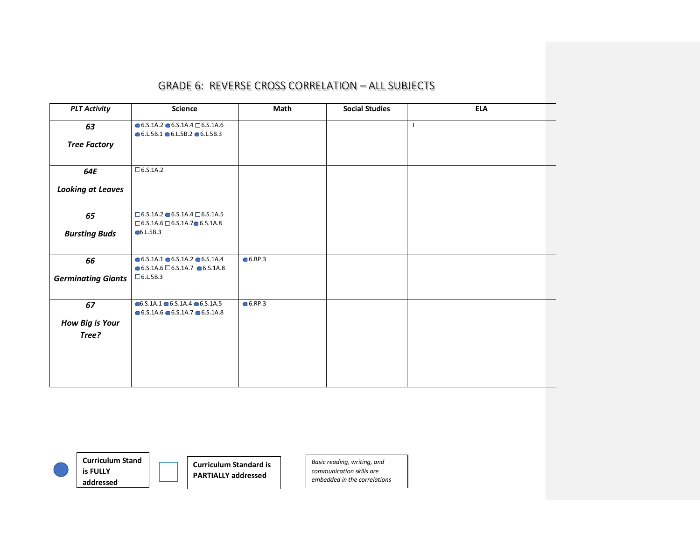| <b>PLT Activity</b>       | <b>Science</b>                                                                                                       | Math      | <b>Social Studies</b> | <b>ELA</b>   |
|---------------------------|----------------------------------------------------------------------------------------------------------------------|-----------|-----------------------|--------------|
| 63                        | $\bullet$ 6.5.1A.2 $\bullet$ 6.5.1A.4 $\Box$ 6.5.1A.6<br>$\bullet$ 6.L.5B.1 $\bullet$ 6.L.5B.2 $\bullet$ 6.L.5B.3    |           |                       | $\mathbf{I}$ |
| <b>Tree Factory</b>       |                                                                                                                      |           |                       |              |
| 64E                       | $\Box$ 6.5.1A.2                                                                                                      |           |                       |              |
| <b>Looking at Leaves</b>  |                                                                                                                      |           |                       |              |
| 65                        | $\square$ 6.5.1A.2 $\bullet$ 6.5.1A.4 $\square$ 6.5.1A.5<br>$\Box$ 6.5.1A.6 $\Box$ 6.5.1A.7 $\bullet$ 6.5.1A.8       |           |                       |              |
| <b>Bursting Buds</b>      | •6.L.5B.3                                                                                                            |           |                       |              |
| 66                        | $\bullet$ 6.5.1A.1 $\bullet$ 6.5.1A.2 $\bullet$ 6.5.1A.4<br>$\bullet$ 6.S.1A.6 $\Box$ 6.S.1A.7 $\bullet$ 6.S.1A.8    | $6.$ RP.3 |                       |              |
| <b>Germinating Giants</b> | $\Box$ 6.L.5B.3                                                                                                      |           |                       |              |
| 67                        | $\bullet$ 6.S.1A.1 $\bullet$ 6.S.1A.4 $\bullet$ 6.S.1A.5<br>$\bullet$ 6.5.1A.6 $\bullet$ 6.5.1A.7 $\bullet$ 6.5.1A.8 | $6.$ RP.3 |                       |              |
| <b>How Big is Your</b>    |                                                                                                                      |           |                       |              |
| Tree?                     |                                                                                                                      |           |                       |              |



**Curriculum Stand is FULLY addressed**

**Curriculum Standard is PARTIALLY addressed**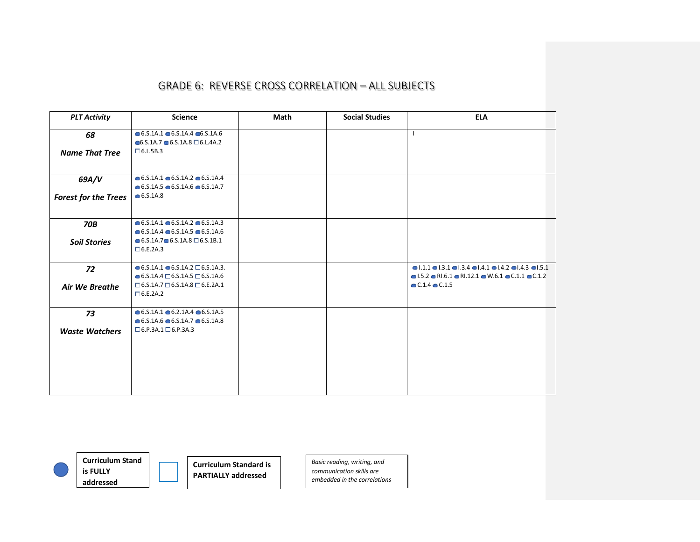| <b>PLT Activity</b>         | <b>Science</b>                                                                                                       | Math | <b>Social Studies</b> | <b>ELA</b>                                                                                                                                                                                                            |
|-----------------------------|----------------------------------------------------------------------------------------------------------------------|------|-----------------------|-----------------------------------------------------------------------------------------------------------------------------------------------------------------------------------------------------------------------|
| 68                          | $\bullet$ 6.5.1A.1 $\bullet$ 6.5.1A.4 $\bullet$ 6.5.1A.6<br>$\bullet$ 6.S.1A.7 $\bullet$ 6.S.1A.8 $\Box$ 6.L.4A.2    |      |                       |                                                                                                                                                                                                                       |
| <b>Name That Tree</b>       | $\Box$ 6.L.5B.3                                                                                                      |      |                       |                                                                                                                                                                                                                       |
| 69A/V                       | $\bullet$ 6.5.1A.1 $\bullet$ 6.5.1A.2 $\bullet$ 6.5.1A.4                                                             |      |                       |                                                                                                                                                                                                                       |
| <b>Forest for the Trees</b> | $\bullet$ 6.S.1A.5 $\bullet$ 6.S.1A.6 $\bullet$ 6.S.1A.7<br>• 6.5.1A.8                                               |      |                       |                                                                                                                                                                                                                       |
| <b>70B</b>                  | $\bullet$ 6.5.1A.1 $\bullet$ 6.5.1A.2 $\bullet$ 6.5.1A.3<br>$\bullet$ 6.5.1A.4 $\bullet$ 6.5.1A.5 $\bullet$ 6.5.1A.6 |      |                       |                                                                                                                                                                                                                       |
| <b>Soil Stories</b>         | $\bullet$ 6.5.1A.7 $\bullet$ 6.5.1A.8 $\Box$ 6.5.1B.1<br>$\Box$ 6.E.2A.3                                             |      |                       |                                                                                                                                                                                                                       |
| 72                          | $\bullet$ 6.5.1A.1 $\bullet$ 6.5.1A.2 $\Box$ 6.5.1A.3.<br>$\bullet$ 6.S.1A.4 $\Box$ 6.S.1A.5 $\Box$ 6.S.1A.6         |      |                       | $\bullet$ 1.1.1 $\bullet$ 1.3.1 $\bullet$ 1.3.4 $\bullet$ 1.4.1 $\bullet$ 1.4.2 $\bullet$ 1.4.3 $\bullet$ 1.5.1<br>$\bullet$ 1.5.2 $\bullet$ RI.6.1 $\bullet$ RI.12.1 $\bullet$ W.6.1 $\bullet$ C.1.1 $\bullet$ C.1.2 |
| <b>Air We Breathe</b>       | $\Box$ 6.5.1A.7 $\Box$ 6.5.1A.8 $\Box$ 6.E.2A.1<br>$\Box$ 6.E.2A.2                                                   |      |                       | $C.1.4$ $C.1.5$                                                                                                                                                                                                       |
| 73                          | $\bullet$ 6.5.1A.1 $\bullet$ 6.2.1A.4 $\bullet$ 6.S.1A.5<br>$\bullet$ 6.5.1A.6 $\bullet$ 6.5.1A.7 $\bullet$ 6.5.1A.8 |      |                       |                                                                                                                                                                                                                       |
| <b>Waste Watchers</b>       | $\Box$ 6.P.3A.1 $\Box$ 6.P.3A.3                                                                                      |      |                       |                                                                                                                                                                                                                       |



**is FULLY** 

**Curriculum Stand addressed**

**Curriculum Standard is PARTIALLY addressed**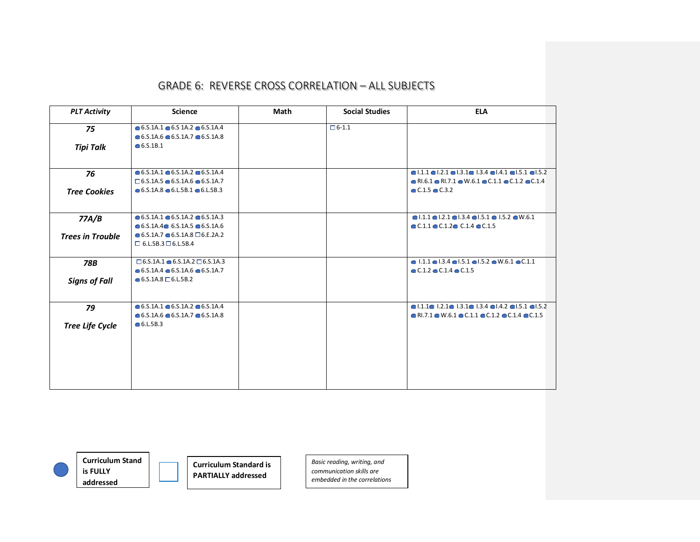| <b>PLT Activity</b>     | <b>Science</b>                                           | Math | <b>Social Studies</b> | <b>ELA</b>                                                                                                      |
|-------------------------|----------------------------------------------------------|------|-----------------------|-----------------------------------------------------------------------------------------------------------------|
| 75                      | $\bullet$ 6.5.1A.1 $\bullet$ 6.5 1A.2 $\bullet$ 6.5.1A.4 |      | $\Box$ 6-1.1          |                                                                                                                 |
|                         | $\bullet$ 6.5.1A.6 $\bullet$ 6.5.1A.7 $\bullet$ 6.5.1A.8 |      |                       |                                                                                                                 |
| <b>Tipi Talk</b>        | • 6.5.1B.1                                               |      |                       |                                                                                                                 |
|                         |                                                          |      |                       |                                                                                                                 |
| 76                      | $\bullet$ 6.5.1A.1 $\bullet$ 6.5.1A.2 $\bullet$ 6.5.1A.4 |      |                       | $\bullet$ 1.1.1 $\bullet$ 1.2.1 $\bullet$ 1.3.1 $\bullet$ 1.3.4 $\bullet$ 1.4.1 $\bullet$ 1.5.1 $\bullet$ 1.5.2 |
|                         | $\Box$ 6.5.1A.5 $\bullet$ 6.5.1A.6 $\bullet$ 6.5.1A.7    |      |                       | $\bullet$ RI.6.1 $\bullet$ RI.7.1 $\bullet$ W.6.1 $\bullet$ C.1.1 $\bullet$ C.1.2 $\bullet$ C.1.4               |
| <b>Tree Cookies</b>     | $\bullet$ 6.5.1A.8 $\bullet$ 6.L.5B.1 $\bullet$ 6.L.5B.3 |      |                       | $C.1.5$ $C.3.2$                                                                                                 |
| 77A/B                   | $\bullet$ 6.5.1A.1 $\bullet$ 6.5.1A.2 $\bullet$ 6.5.1A.3 |      |                       | $\bullet$ 1.1.1 $\bullet$ 1.2.1 $\bullet$ 1.3.4 $\bullet$ 1.5.1 $\bullet$ 1.5.2 $\bullet$ W.6.1                 |
|                         | $\bullet$ 6.5.1A.4 $\bullet$ 6.5.1A.5 $\bullet$ 6.5.1A.6 |      |                       | $\bullet$ C.1.1 $\bullet$ C.1.2 $\bullet$ C.1.4 $\bullet$ C.1.5                                                 |
| <b>Trees in Trouble</b> | $\bullet$ 6.5.1A.7 $\bullet$ 6.5.1A.8 $\Box$ 6.E.2A.2    |      |                       |                                                                                                                 |
|                         | $\Box$ 6.L.5B.3 $\Box$ 6.L.5B.4                          |      |                       |                                                                                                                 |
| 78B                     | $\Box$ 6.5.1A.1 $\bullet$ 6.5.1A.2 $\Box$ 6.5.1A.3       |      |                       | $\bullet$ 1.1.1 $\bullet$ 1.3.4 $\bullet$ 1.5.1 $\bullet$ 1.5.2 $\bullet$ W.6.1 $\bullet$ C.1.1                 |
|                         | $\bullet$ 6.S.1A.4 $\bullet$ 6.S.1A.6 $\bullet$ 6.S.1A.7 |      |                       | $\bullet$ C.1.2 $\bullet$ C.1.4 $\bullet$ C.1.5                                                                 |
| <b>Signs of Fall</b>    | $\bullet$ 6.S.1A.8 $\Box$ 6.L.5B.2                       |      |                       |                                                                                                                 |
| 79                      | $\bullet$ 6.S.1A.1 $\bullet$ 6.S.1A.2 $\bullet$ 6.S.1A.4 |      |                       | $\bullet$ 1.1.1 $\bullet$ 1.2.1 $\bullet$ 1.3.1 $\bullet$ 1.3.4 $\bullet$ 1.4.2 $\bullet$ 1.5.1 $\bullet$ 1.5.2 |
|                         | $\bullet$ 6.5.1A.6 $\bullet$ 6.5.1A.7 $\bullet$ 6.5.1A.8 |      |                       | $\bullet$ RI.7.1 $\bullet$ W.6.1 $\bullet$ C.1.1 $\bullet$ C.1.2 $\bullet$ C.1.4 $\bullet$ C.1.5                |
| <b>Tree Life Cycle</b>  | • 6.L.5B.3                                               |      |                       |                                                                                                                 |
|                         |                                                          |      |                       |                                                                                                                 |
|                         |                                                          |      |                       |                                                                                                                 |
|                         |                                                          |      |                       |                                                                                                                 |
|                         |                                                          |      |                       |                                                                                                                 |



**is FULLY addressed**

**Curriculum Stand** 

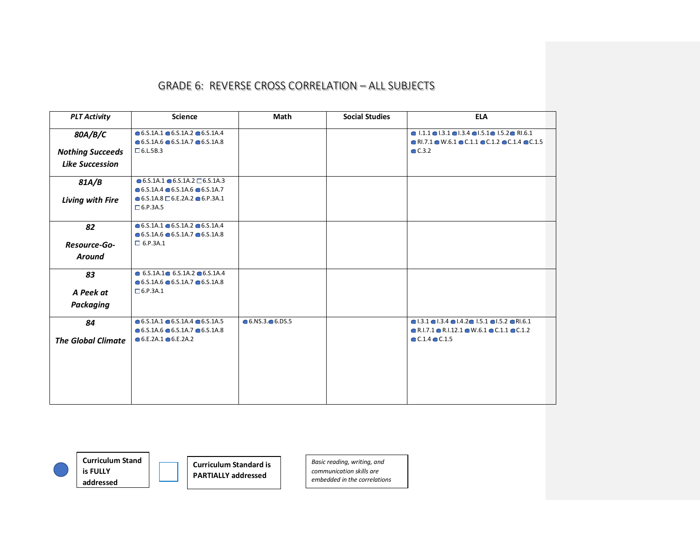| <b>PLT Activity</b>       | <b>Science</b>                                           | Math             | <b>Social Studies</b> | <b>ELA</b>                                                                                       |
|---------------------------|----------------------------------------------------------|------------------|-----------------------|--------------------------------------------------------------------------------------------------|
| 80A/B/C                   | $\bullet$ 6.5.1A.1 $\bullet$ 6.5.1A.2 $\bullet$ 6.5.1A.4 |                  |                       | $\bullet$ 1.1.1 $\bullet$ 1.3.1 $\bullet$ 1.3.4 $\bullet$ 1.5.1 $\bullet$ 1.5.2 $\bullet$ RI.6.1 |
|                           | $\bullet$ 6.5.1A.6 $\bullet$ 6.5.1A.7 $\bullet$ 6.5.1A.8 |                  |                       | $\bullet$ RI.7.1 $\bullet$ W.6.1 $\bullet$ C.1.1 $\bullet$ C.1.2 $\bullet$ C.1.4 $\bullet$ C.1.5 |
| <b>Nothing Succeeds</b>   | $\Box$ 6.L.5B.3                                          |                  |                       | C.3.2                                                                                            |
| <b>Like Succession</b>    |                                                          |                  |                       |                                                                                                  |
| 81A/B                     | $\bullet$ 6.5.1A.1 $\bullet$ 6.5.1A.2 $\Box$ 6.5.1A.3    |                  |                       |                                                                                                  |
|                           | $\bullet$ 6.5.1A.4 $\bullet$ 6.5.1A.6 $\bullet$ 6.5.1A.7 |                  |                       |                                                                                                  |
| Living with Fire          | $\bullet$ 6.S.1A.8 $\Box$ 6.E.2A.2 $\bullet$ 6.P.3A.1    |                  |                       |                                                                                                  |
|                           | $\Box$ 6.P.3A.5                                          |                  |                       |                                                                                                  |
| 82                        | $\bullet$ 6.5.1A.1 $\bullet$ 6.5.1A.2 $\bullet$ 6.5.1A.4 |                  |                       |                                                                                                  |
|                           | $\bullet$ 6.5.1A.6 $\bullet$ 6.5.1A.7 $\bullet$ 6.5.1A.8 |                  |                       |                                                                                                  |
| Resource-Go-              | $\Box$ 6.P.3A.1                                          |                  |                       |                                                                                                  |
| <b>Around</b>             |                                                          |                  |                       |                                                                                                  |
| 83                        | $\bullet$ 6.5.1A.1 $\bullet$ 6.5.1A.2 $\bullet$ 6.5.1A.4 |                  |                       |                                                                                                  |
|                           | $\bullet$ 6.5.1A.6 $\bullet$ 6.5.1A.7 $\bullet$ 6.5.1A.8 |                  |                       |                                                                                                  |
| A Peek at                 | $\Box$ 6.P.3A.1                                          |                  |                       |                                                                                                  |
| <b>Packaging</b>          |                                                          |                  |                       |                                                                                                  |
| 84                        | $\bullet$ 6.5.1A.1 $\bullet$ 6.5.1A.4 $\bullet$ 6.5.1A.5 | $6.053 - 6.05.5$ |                       | $\bullet$ 1.3.1 $\bullet$ 1.3.4 $\bullet$ 1.4.2 $\bullet$ 1.5.1 $\bullet$ 1.5.2 $\bullet$ R1.6.1 |
|                           | $\bullet$ 6.5.1A.6 $\bullet$ 6.5.1A.7 $\bullet$ 6.5.1A.8 |                  |                       | $\bullet$ R.I.7.1 $\bullet$ R.I.12.1 $\bullet$ W.6.1 $\bullet$ C.1.1 $\bullet$ C.1.2             |
| <b>The Global Climate</b> | $\bullet$ 6.E.2A.1 $\bullet$ 6.E.2A.2                    |                  |                       | $\bullet$ C.1.4 $\bullet$ C.1.5                                                                  |
|                           |                                                          |                  |                       |                                                                                                  |
|                           |                                                          |                  |                       |                                                                                                  |
|                           |                                                          |                  |                       |                                                                                                  |
|                           |                                                          |                  |                       |                                                                                                  |
|                           |                                                          |                  |                       |                                                                                                  |
|                           |                                                          |                  |                       |                                                                                                  |



**Curriculum Stand is FULLY addressed**

**Curriculum Standard is PARTIALLY addressed**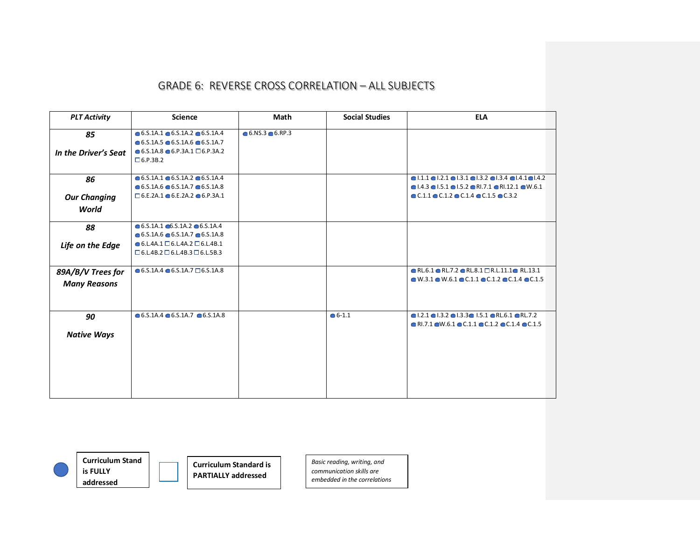| <b>PLT Activity</b>  | <b>Science</b>                                           | Math                   | <b>Social Studies</b> | <b>ELA</b>                                                                                                      |
|----------------------|----------------------------------------------------------|------------------------|-----------------------|-----------------------------------------------------------------------------------------------------------------|
| 85                   | $\bullet$ 6.5.1A.1 $\bullet$ 6.5.1A.2 $\bullet$ 6.5.1A.4 | $6.05.3 \cdot 6.007.3$ |                       |                                                                                                                 |
|                      | $\bullet$ 6.5.1A.5 $\bullet$ 6.5.1A.6 $\bullet$ 6.5.1A.7 |                        |                       |                                                                                                                 |
| In the Driver's Seat | $\bullet$ 6.S.1A.8 $\bullet$ 6.P.3A.1 $\Box$ 6.P.3A.2    |                        |                       |                                                                                                                 |
|                      | $\Box$ 6.P.3B.2                                          |                        |                       |                                                                                                                 |
|                      |                                                          |                        |                       |                                                                                                                 |
| 86                   | $\bullet$ 6.5.1A.1 $\bullet$ 6.5.1A.2 $\bullet$ 6.5.1A.4 |                        |                       | $\bullet$  .1.1 $\bullet$  .2.1 $\bullet$  .3.1 $\bullet$  .3.2 $\bullet$  .3.4 $\bullet$  .4.1 $\bullet$  .4.2 |
|                      | $\bullet$ 6.5.1A.6 $\bullet$ 6.5.1A.7 $\bullet$ 6.5.1A.8 |                        |                       | $\bullet$ 1.4.3 $\bullet$ 1.5.1 $\bullet$ 1.5.2 $\bullet$ R1.7.1 $\bullet$ R1.12.1 $\bullet$ W.6.1              |
| <b>Our Changing</b>  | $\square$ 6.E.2A.1 $\odot$ 6.E.2A.2 $\odot$ 6.P.3A.1     |                        |                       | $\bullet$ C.1.1 $\bullet$ C.1.2 $\bullet$ C.1.4 $\bullet$ C.1.5 $\bullet$ C.3.2                                 |
| World                |                                                          |                        |                       |                                                                                                                 |
|                      |                                                          |                        |                       |                                                                                                                 |
| 88                   | $\bullet$ 6.5.1A.1 $\bullet$ 6.5.1A.2 $\bullet$ 6.5.1A.4 |                        |                       |                                                                                                                 |
|                      | $\bullet$ 6.5.1A.6 $\bullet$ 6.5.1A.7 $\bullet$ 6.5.1A.8 |                        |                       |                                                                                                                 |
| Life on the Edge     | $\bullet$ 6.L.4A.1 $\Box$ 6.L.4A.2 $\Box$ 6.L.4B.1       |                        |                       |                                                                                                                 |
|                      | $\Box$ 6.L.4B.2 $\Box$ 6.L.4B.3 $\Box$ 6.L.5B.3          |                        |                       |                                                                                                                 |
|                      |                                                          |                        |                       |                                                                                                                 |
| 89A/B/V Trees for    | $\bullet$ 6.5.1A.4 $\bullet$ 6.5.1A.7 $\Box$ 6.5.1A.8    |                        |                       | $\bullet$ RL.6.1 $\bullet$ RL.7.2 $\bullet$ RL.8.1 $\Box$ R.L.11.1 $\bullet$ RL.13.1                            |
| <b>Many Reasons</b>  |                                                          |                        |                       | $\bullet$ W.3.1 $\bullet$ W.6.1 $\bullet$ C.1.1 $\bullet$ C.1.2 $\bullet$ C.1.4 $\bullet$ C.1.5                 |
|                      |                                                          |                        |                       |                                                                                                                 |
|                      |                                                          |                        |                       |                                                                                                                 |
| 90                   | $\bullet$ 6.5.1A.4 $\bullet$ 6.5.1A.7 $\bullet$ 6.5.1A.8 |                        | $• 6 - 1.1$           | $\bullet$ 1.2.1 $\bullet$ 1.3.2 $\bullet$ 1.3.3 $\bullet$ 1.5.1 $\bullet$ RL.6.1 $\bullet$ RL.7.2               |
|                      |                                                          |                        |                       | $\bullet$ RI.7.1 $\bullet$ W.6.1 $\bullet$ C.1.1 $\bullet$ C.1.2 $\bullet$ C.1.4 $\bullet$ C.1.5                |
| <b>Native Ways</b>   |                                                          |                        |                       |                                                                                                                 |
|                      |                                                          |                        |                       |                                                                                                                 |
|                      |                                                          |                        |                       |                                                                                                                 |
|                      |                                                          |                        |                       |                                                                                                                 |
|                      |                                                          |                        |                       |                                                                                                                 |
|                      |                                                          |                        |                       |                                                                                                                 |
|                      |                                                          |                        |                       |                                                                                                                 |



**is FULLY addressed**

**Curriculum Stand** 

**Curriculum Standard is PARTIALLY addressed**